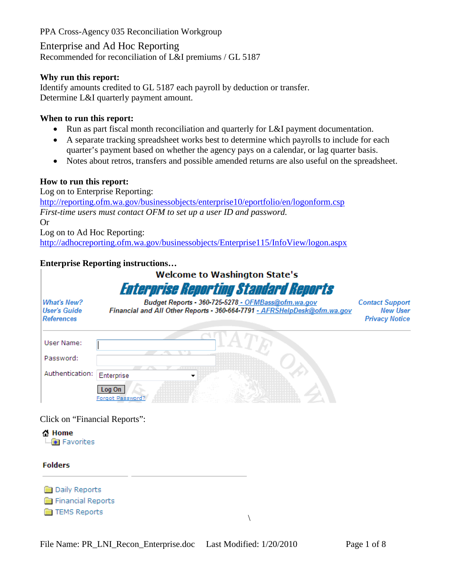Enterprise and Ad Hoc Reporting Recommended for reconciliation of L&I premiums / GL 5187

#### **Why run this report:**

Identify amounts credited to GL 5187 each payroll by deduction or transfer. Determine L&I quarterly payment amount.

#### **When to run this report:**

- Run as part fiscal month reconciliation and quarterly for L&I payment documentation.
- A separate tracking spreadsheet works best to determine which payrolls to include for each quarter's payment based on whether the agency pays on a calendar, or lag quarter basis.
- Notes about retros, transfers and possible amended returns are also useful on the spreadsheet.

#### **How to run this report:**

Log on to Enterprise Reporting: <http://reporting.ofm.wa.gov/businessobjects/enterprise10/eportfolio/en/logonform.csp> *First-time users must contact OFM to set up a user ID and password.* Or Log on to Ad Hoc Reporting:

<http://adhocreporting.ofm.wa.gov/businessobjects/Enterprise115/InfoView/logon.aspx>

#### **Enterprise Reporting instructions…**

|                                                         | <b>Welcome to Washington State's</b>                                                                                           |                                                                    |
|---------------------------------------------------------|--------------------------------------------------------------------------------------------------------------------------------|--------------------------------------------------------------------|
|                                                         | <b>Enterprise Reporting Standard Reports</b>                                                                                   |                                                                    |
| <b>What's New?</b><br><b>User's Guide</b><br>References | Budget Reports - 360-725-5278 - OFMBass@ofm.wa.gov<br>Financial and All Other Reports - 360-664-7791 - AFRSHelpDesk@ofm.wa.qov | <b>Contact Support</b><br><b>New User</b><br><b>Privacy Notice</b> |
| User Name:                                              |                                                                                                                                |                                                                    |
| Password:                                               |                                                                                                                                |                                                                    |
| Authentication:                                         | Enterprise                                                                                                                     |                                                                    |
|                                                         | Log On<br>Forgot Password                                                                                                      |                                                                    |

 $\setminus$ 

Click on "Financial Reports":

습 Home **M** Favorites

#### **Folders**

**Daily Reports** Financial Reports **TEMS Reports**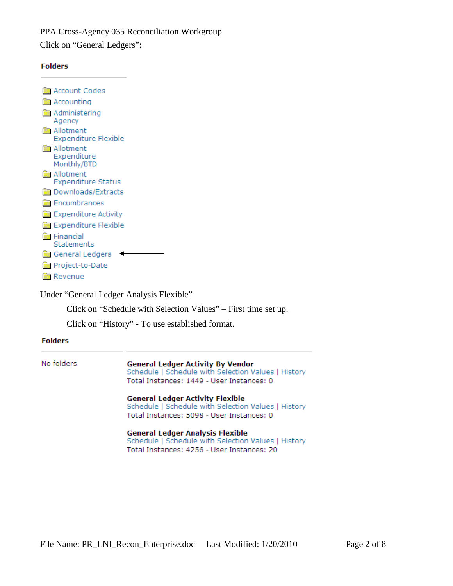Click on "General Ledgers":



| <b>M</b> Account Codes                           |
|--------------------------------------------------|
| <b>M</b> Accounting                              |
| <b>Administering</b><br>Agency                   |
| <b>■ Allotment</b><br>Expenditure Flexible       |
| <b>M</b> Allotment<br>Expenditure<br>Monthly/BTD |
| <b>Ma</b> Allotment<br><b>Expenditure Status</b> |
| <b>Downloads/Extracts</b>                        |
| <b>B</b> Encumbrances                            |
| Expenditure Activity                             |
| Expenditure Flexible                             |
| <b>E</b> inancial<br>Statements                  |
| <b>General Ledgers</b>                           |
| <b>B</b> Project-to-Date                         |
| <b>Revenue</b>                                   |

Under "General Ledger Analysis Flexible"

Click on "Schedule with Selection Values" – First time set up.

Click on "History" - To use established format.

| No folders | <b>General Ledger Activity By Vendor</b><br>Schedule   Schedule with Selection Values   History<br>Total Instances: 1449 - User Instances: 0 |
|------------|----------------------------------------------------------------------------------------------------------------------------------------------|
|            | <b>General Ledger Activity Flexible</b><br>Schedule   Schedule with Selection Values   History<br>Total Instances: 5098 - User Instances: 0  |
|            | <b>General Ledger Analysis Flexible</b><br>Schedule   Schedule with Selection Values   History<br>Total Instances: 4256 - User Instances: 20 |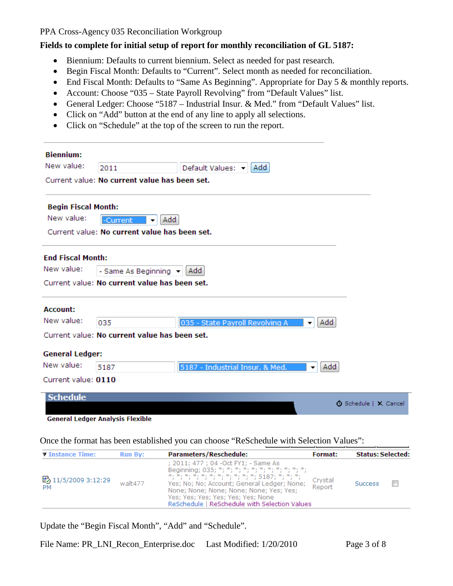#### **Fields to complete for initial setup of report for monthly reconciliation of GL 5187:**

- Biennium: Defaults to current biennium. Select as needed for past research.
- Begin Fiscal Month: Defaults to "Current". Select month as needed for reconciliation.
- End Fiscal Month: Defaults to "Same As Beginning". Appropriate for Day 5 & monthly reports.
- Account: Choose "035 State Payroll Revolving" from "Default Values" list.
- General Ledger: Choose "5187 Industrial Insur. & Med." from "Default Values" list.
- Click on "Add" button at the end of any line to apply all selections.
- Click on "Schedule" at the top of the screen to run the report.

| <b>Biennium:</b>           |                                               |                                 |          |                              |
|----------------------------|-----------------------------------------------|---------------------------------|----------|------------------------------|
| New value:                 | 2011                                          | Default Values: $\mathbf{v}$    | Add      |                              |
|                            | Current value: No current value has been set. |                                 |          |                              |
| <b>Begin Fiscal Month:</b> |                                               |                                 |          |                              |
| New value:                 | -Current<br>Add<br>▼                          |                                 |          |                              |
|                            | Current value: No current value has been set. |                                 |          |                              |
| <b>End Fiscal Month:</b>   |                                               |                                 |          |                              |
| New value:                 | - Same As Beginning -                         | Add                             |          |                              |
|                            | Current value: No current value has been set. |                                 |          |                              |
| Account:                   |                                               |                                 |          |                              |
| New value:                 | 035                                           | 035 - State Payroll Revolving A | Add<br>▼ |                              |
|                            | Current value: No current value has been set. |                                 |          |                              |
| <b>General Ledger:</b>     |                                               |                                 |          |                              |
| New value:                 | 5187                                          | 5187 - Industrial Insur. & Med. | Add<br>▼ |                              |
| Current value: 0110        |                                               |                                 |          |                              |
| <b>Schedule</b>            |                                               |                                 |          |                              |
|                            |                                               |                                 |          | <b>①</b> Schedule   X Cancel |

**General Ledger Analysis Flexible** 

Once the format has been established you can choose "ReSchedule with Selection Values":

| <b>T</b> Instance Time:          | <b>Run By:</b> | Parameters/Reschedule:                                                                                                                                                                                                                                                                                                           | <b>Format:</b>    | <b>Status: Selected:</b> |
|----------------------------------|----------------|----------------------------------------------------------------------------------------------------------------------------------------------------------------------------------------------------------------------------------------------------------------------------------------------------------------------------------|-------------------|--------------------------|
| ■ 11/5/2009 3:12:29<br><b>PM</b> | walt477        | ; 2011; 477 ; 04 - Oct FY1; - Same As<br>Beginning; 035; *; *; *; *; *; *; *; *; *; *; *; *;<br>*, *, *, *, *, *, *, *, *, *, *, 5187, *, *, *,<br>Yes; No; No; Account; General Ledger; None;<br>None; None; None; None; None; Yes; Yes;<br>Yes; Yes; Yes; Yes; Yes; Yes; None<br>ReSchedule   ReSchedule with Selection Values | Crystal<br>Report | <b>Success</b>           |

Update the "Begin Fiscal Month", "Add" and "Schedule".

File Name: PR\_LNI\_Recon\_Enterprise.doc Last Modified: 1/20/2010 Page 3 of 8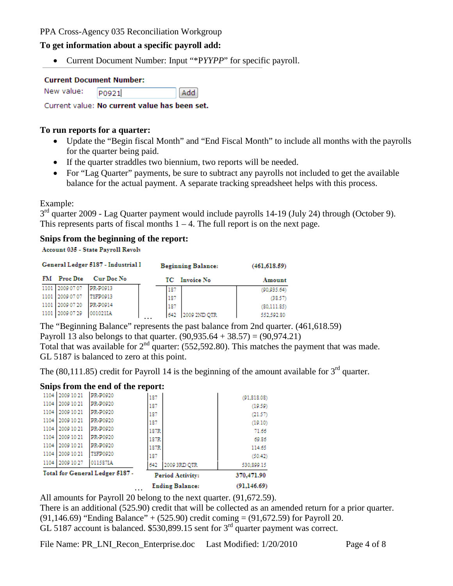#### **To get information about a specific payroll add:**

• Current Document Number: Input "\*P*YYPP*" for specific payroll.

#### **Current Document Number:**

| New value: | P0921 | Add |
|------------|-------|-----|
|            |       |     |

Current value: No current value has been set.

#### **To run reports for a quarter:**

- Update the "Begin fiscal Month" and "End Fiscal Month" to include all months with the payrolls for the quarter being paid.
- If the quarter straddles two biennium, two reports will be needed.
- For "Lag Quarter" payments, be sure to subtract any payrolls not included to get the available balance for the actual payment. A separate tracking spreadsheet helps with this process.

Example:

3<sup>rd</sup> quarter 2009 - Lag Quarter payment would include payrolls 14-19 (July 24) through (October 9). This represents parts of fiscal months  $1 - 4$ . The full report is on the next page.

#### **Snips from the beginning of the report:**

Account 035 - State Payroll Revolv

|                    | General Ledger 5187 - Industrial I | <b>Beginning Balance:</b> | (461.618.59) |
|--------------------|------------------------------------|---------------------------|--------------|
| <b>FM</b> Proc Dte | <b>Cur Doc No</b>                  | TC Invoice No             | Amount       |
| 1101 2009 07 07    | PR-P0913                           | 187                       | (90, 935.64) |
| 1101 2009 07 07    | TSFP0913                           | 187                       | (38.57)      |
| 1101 2009 07:20    | PR-P0914                           | 187                       | (80, 111.85) |
| 1101 2009 07:29    | 001021IA                           | 2009 2ND OTR<br>642       | 552,592.80   |

The "Beginning Balance" represents the past balance from 2nd quarter. (461,618.59) Payroll 13 also belongs to that quarter.  $(90,935.64 + 38.57) = (90,974.21)$ 

Total that was available for  $2<sup>nd</sup>$  quarter: (552,592.80). This matches the payment that was made. GL 5187 is balanced to zero at this point.

The (80,111.85) credit for Payroll 14 is the beginning of the amount available for  $3<sup>rd</sup>$  quarter.

#### **Snips from the end of the report:**

|                 |                                 | <b>Ending Balance:</b><br>. | (91, 146.69) |
|-----------------|---------------------------------|-----------------------------|--------------|
|                 | Total for General Ledger 5187 - | <b>Period Activity:</b>     | 370,471.90   |
| 1104 2009 10 27 | 011587IA                        | 2009 3RD QTR<br>642         | 530,899.15   |
| 1104 2009 10 21 | TSFP0920                        | 187                         | (50.42)      |
| 1104 2009 10 21 | PR-P0920                        | 187R                        | 114.65       |
| 1104 2009 10 21 | PR-P0920                        | 187R                        | 69.86        |
| 1104 2009 10 21 | PR-P0920                        | 187R                        | 71.66        |
| 1104 2009 10 21 | PR-P0920                        | 187                         | (19.10)      |
| 1104 2009 10 21 | PR-P0920                        | 187                         | (21.57)      |
| 1104 2009 10 21 | PR-P0920                        | 187                         | (19.59)      |
| 1104 2009 10 21 | PR-P0920                        | 187                         | (91, 818.08) |

All amounts for Payroll 20 belong to the next quarter. (91,672.59).

There is an additional (525.90) credit that will be collected as an amended return for a prior quarter.

 $(91,146.69)$  "Ending Balance" +  $(525.90)$  credit coming =  $(91,672.59)$  for Payroll 20.

GL 5187 account is balanced.  $$530,899.15$  sent for  $3<sup>rd</sup>$  quarter payment was correct.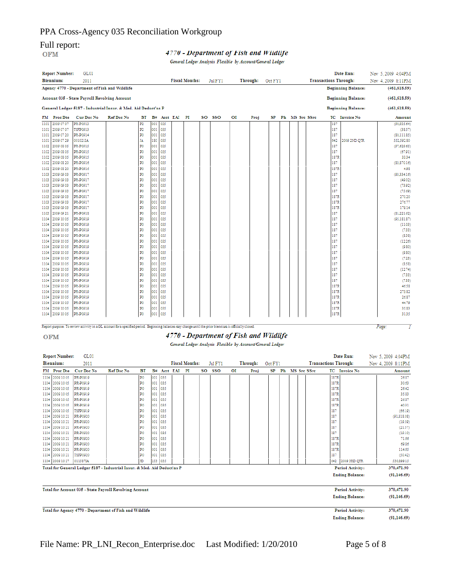# Full report:<br>OFM

#### 4770 - Department of Fish and Wildlife

General Ledger Analysis Flexible by Account/General Ledger

|      | <b>Report Number:</b> | GL01                                                                                                                                                    |                   |    |     |             |                       |         |    |          |         |  |                   |                              | Date Run:                 | Nov 5, 2009 4:04PM |               |
|------|-----------------------|---------------------------------------------------------------------------------------------------------------------------------------------------------|-------------------|----|-----|-------------|-----------------------|---------|----|----------|---------|--|-------------------|------------------------------|---------------------------|--------------------|---------------|
|      | <b>Biennium:</b>      | 2011                                                                                                                                                    |                   |    |     |             | <b>Fiscal Months:</b> | Jul FY1 |    | Through: | Oct FY1 |  |                   | <b>Transactions Through:</b> |                           | Nov 4, 2009 8:11PM |               |
|      |                       | Agency 4770 - Department of Fish and Wildlife                                                                                                           |                   |    |     |             |                       |         |    |          |         |  |                   |                              | <b>Beginning Balance:</b> | (461, 618.59)      |               |
|      |                       | <b>Account 035 - State Payroll Revolving Account</b>                                                                                                    |                   |    |     |             |                       |         |    |          |         |  |                   |                              | <b>Beginning Balance:</b> | (461, 618.59)      |               |
|      |                       | General Ledger 5187 - Industrial Insur. & Med. Aid Deduct'ns P                                                                                          |                   |    |     |             |                       |         |    |          |         |  |                   |                              | <b>Beginning Balance:</b> | (461, 618.59)      |               |
|      | FM Proc Dte           | Cur Doc No                                                                                                                                              | <b>Ref Doc No</b> | ВT |     | B# Acct EAI | PI                    | SO SSO  | ΟI | Proj     |         |  | SP Ph MS Src SSrc |                              | <b>TC</b> Invoice No      |                    | Amount        |
|      | 1101 2009 07 07       | PR-P0913                                                                                                                                                |                   | P2 |     | 001 035     |                       |         |    |          |         |  |                   | 187                          |                           |                    | (90, 935, 64) |
| 1101 | 2009 07 07            | TSFP0913                                                                                                                                                |                   | P2 |     | 001 035     |                       |         |    |          |         |  |                   | 187                          |                           |                    | (38.57)       |
|      | 1101 2009 07:20       | PR-P0914                                                                                                                                                |                   | P0 |     | 001 035     |                       |         |    |          |         |  |                   | 187                          |                           |                    | (80, 111.85)  |
| 1101 | 2009 07 29            | 001021IA                                                                                                                                                |                   | IΑ |     | 180 035     |                       |         |    |          |         |  |                   | 642                          | 2009 2ND QTR              |                    | 552,592.80    |
| 1102 | 2009 08 05            | PR-P0915                                                                                                                                                |                   | P0 | 001 | 035         |                       |         |    |          |         |  |                   | 187                          |                           |                    | (97, 629.65)  |
|      | 1102 2009 08 05       | PR-P0915                                                                                                                                                |                   | P0 | 001 | 035         |                       |         |    |          |         |  |                   | 187                          |                           |                    | (67.91)       |
|      | 1102 2009 08 05       | PR-P0915                                                                                                                                                |                   | P0 |     | 001 035     |                       |         |    |          |         |  |                   | 187R                         |                           |                    | 33.34         |
|      | 1102 2009 08:20       | PR-P0916                                                                                                                                                |                   | P0 | 001 | 035         |                       |         |    |          |         |  |                   | 187                          |                           |                    | (83,870.16)   |
|      | 1102 2009 08:20       | PR-P0916                                                                                                                                                |                   | P0 |     | 001 035     |                       |         |    |          |         |  |                   | 187R                         |                           |                    | 4.98          |
| 1103 | 2009 09 03            | PR-P0917                                                                                                                                                |                   | P0 |     | 001 035     |                       |         |    |          |         |  |                   | 187                          |                           |                    | (93, 334.16)  |
|      | 1103 2009 09 03       | PR-P0917                                                                                                                                                |                   | P0 |     | 001 035     |                       |         |    |          |         |  |                   | 187                          |                           |                    | (49.02)       |
|      | 1103 2009 09 03       | PR-P0917                                                                                                                                                |                   | P0 | 001 | 035         |                       |         |    |          |         |  |                   | 187                          |                           |                    | (73.92)       |
| 1103 | 2009 09 03            | PR-P0917                                                                                                                                                |                   | P0 | 001 | 035         |                       |         |    |          |         |  |                   | 187                          |                           |                    | (75.69)       |
|      | 1103 2009 09 03       | PR-P0917                                                                                                                                                |                   | P0 | 001 | 035         |                       |         |    |          |         |  |                   | 187R                         |                           |                    | 270.20        |
| 1103 | 2009 09 03            | PR-P0917                                                                                                                                                |                   | P0 |     | 001 035     |                       |         |    |          |         |  |                   | 187R                         |                           |                    | 276.77        |
|      | 1103 2009 09 03       | PR-P0917                                                                                                                                                |                   | P0 | 001 | 035         |                       |         |    |          |         |  |                   | 187R                         |                           |                    | 179.14        |
| 1103 | 2009 09 21            | PR-P0918                                                                                                                                                |                   | P0 | 001 | 035         |                       |         |    |          |         |  |                   | 187                          |                           |                    | (81, 221.62)  |
| 1104 | 2009 10 05            | PR-P0919                                                                                                                                                |                   | P0 | 001 | 035         |                       |         |    |          |         |  |                   | 187                          |                           |                    | (95, 181.87)  |
|      | 1104 2009 10 05       | PR-P0919                                                                                                                                                |                   | P0 | 001 | 035         |                       |         |    |          |         |  |                   | 187                          |                           |                    | (11.03)       |
|      | 1104 2009 10 05       | PR-P0919                                                                                                                                                |                   | P0 |     | 001 035     |                       |         |    |          |         |  |                   | 187                          |                           |                    | (7.33)        |
| 1104 | 2009 10 05            | PR-P0919                                                                                                                                                |                   | P0 | 001 | 035         |                       |         |    |          |         |  |                   | 187                          |                           |                    | (8.38)        |
|      | 1104 2009 10 05       | PR-P0919                                                                                                                                                |                   | P0 | 001 | 035         |                       |         |    |          |         |  |                   | 187                          |                           |                    | (12.26)       |
|      | 1104 2009 10 05       | PR-P0919                                                                                                                                                |                   | P0 | 001 | 035         |                       |         |    |          |         |  |                   | 187                          |                           |                    | (9.80)        |
|      | 1104 2009 10 05       | PR-P0919                                                                                                                                                |                   | P0 |     | 001 035     |                       |         |    |          |         |  |                   | 187                          |                           |                    | (9.80)        |
| 1104 | 2009 10 05            | PR-P0919                                                                                                                                                |                   | P0 | 001 | 035         |                       |         |    |          |         |  |                   | 187                          |                           |                    | (7.23)        |
| 1104 | 2009 10 05            | PR-P0919                                                                                                                                                |                   | P0 | 001 | 035         |                       |         |    |          |         |  |                   | 187                          |                           |                    | (8.58)        |
|      | 1104 2009 10 05       | PR-P0919                                                                                                                                                |                   | P0 | 001 | 035         |                       |         |    |          |         |  |                   | 187                          |                           |                    | (12.74)       |
|      | 1104 2009 10 05       | PR-P0919                                                                                                                                                |                   | P0 |     | 001 035     |                       |         |    |          |         |  |                   | 187                          |                           |                    | (7.33)        |
| 1104 | 2009 10 05            | PR-P0919                                                                                                                                                |                   | P0 | 001 | 035         |                       |         |    |          |         |  |                   | 187                          |                           |                    | (7.33)        |
| 1104 | 2009 10 05            | PR-P0919                                                                                                                                                |                   | P0 | 001 | 035         |                       |         |    |          |         |  |                   | 187R                         |                           |                    | 46.58         |
|      | 1104 2009 10 05       | PR-P0919                                                                                                                                                |                   | P0 |     | 001 035     |                       |         |    |          |         |  |                   | 187R                         |                           |                    | 273.82        |
|      | 1104 2009 10 05       | PR-P0919                                                                                                                                                |                   | P0 |     | 001 035     |                       |         |    |          |         |  |                   | 187R                         |                           |                    | 26.87         |
|      | 1104 2009 10 05       | PR-P0919                                                                                                                                                |                   | P0 |     | 001 035     |                       |         |    |          |         |  |                   | 187R                         |                           |                    | 44.79         |
|      | 1104 2009 10 05       | PR-P0919                                                                                                                                                |                   | P0 | 001 | 035         |                       |         |    |          |         |  |                   | 187R                         |                           |                    | 35.83         |
|      | 1104 2009 10 05       | PR-P0919                                                                                                                                                |                   | P0 |     | 001 035     |                       |         |    |          |         |  |                   | 187R                         |                           |                    | 31.35         |
|      |                       |                                                                                                                                                         |                   |    |     |             |                       |         |    |          |         |  |                   |                              |                           |                    |               |
|      |                       | Report purpose: To review activity in a GL account for a specified period. Beginning balances may change until the prior biennium is officially closed. |                   |    |     |             |                       |         |    |          |         |  |                   |                              |                           | Page:              | 1             |
|      |                       |                                                                                                                                                         |                   |    |     |             |                       |         |    |          |         |  |                   |                              |                           |                    |               |

#### Report purpose: To review activity in a GL account for a specified period. Beginning balances may change until the prior biennium is officially closed.

**OFM** 

#### 4770 - Department of Fish and Wildlife

General Ledger Analysis Flexible by Account/General Ledger

| <b>Report Number:</b> | GL01                                                                     |                   |    |         |             |                       |         |    |          |         |               |  |                              |      | Date Run:               | Nov 5, 2009 4:04PM |
|-----------------------|--------------------------------------------------------------------------|-------------------|----|---------|-------------|-----------------------|---------|----|----------|---------|---------------|--|------------------------------|------|-------------------------|--------------------|
| Biennium:             | 2011                                                                     |                   |    |         |             | <b>Fiscal Months:</b> | Jul FY1 |    | Through: | Oct FY1 |               |  | <b>Transactions Through:</b> |      |                         | Nov 4, 2009 8:11PM |
| FM Proc Dte           | Cur Doc No                                                               | <b>Ref Doc No</b> | BT |         | B# Acct EAI | PI                    | SO SSO  | OI | Proj     | SP      | $\mathbf{Ph}$ |  | MS Src SSrc                  |      | <b>TC</b> Invoice No    | Amount             |
| 1104 2009 10 05       | PR-P0919                                                                 |                   | PО | 001     | 035         |                       |         |    |          |         |               |  |                              | 187R |                         | 26.87              |
| 1104 2009 10 05       | PR-P0919                                                                 |                   | P0 | 001     | 035         |                       |         |    |          |         |               |  |                              | 187R |                         | 30.63              |
| 1104 2009 10 05       | PR-P0919                                                                 |                   | P0 | 001     | 035         |                       |         |    |          |         |               |  |                              | 187R |                         | 26.42              |
| 1104 2009 10 05       | PR-P0919                                                                 |                   | P0 | 001     | 035         |                       |         |    |          |         |               |  |                              | 187R |                         | 35.83              |
| 1104 2009 10 05       | PR-P0919                                                                 |                   | P0 | 001     | 035         |                       |         |    |          |         |               |  |                              | 187R |                         | 26.87              |
| 1104 2009 10 05       | PR-P0919                                                                 |                   | P0 | 001     | 035         |                       |         |    |          |         |               |  |                              | 187R |                         | 40.31              |
| 1104 2009 10 05       | TSFP0919                                                                 |                   | P0 | 001     | 035         |                       |         |    |          |         |               |  |                              | 187  |                         | (66.19)            |
| 1104 2009 10 21       | PR-P0920                                                                 |                   | P0 | 001     | 035         |                       |         |    |          |         |               |  |                              | 187  |                         | (91, 818.08)       |
| 1104 2009 10 21       | PR-P0920                                                                 |                   | P0 | 001     | 035         |                       |         |    |          |         |               |  |                              | 187  |                         | (19.59)            |
| 1104 2009 10 21       | PR-P0920                                                                 |                   | P0 | 001     | 035         |                       |         |    |          |         |               |  |                              | 187  |                         | (21.57)            |
| 1104 2009 10 21       | PR-P0920                                                                 |                   | P0 | 001     | 035         |                       |         |    |          |         |               |  |                              | 187  |                         | (19.10)            |
| 1104 2009 10 21       | PR-P0920                                                                 |                   | P0 | 001     | 035         |                       |         |    |          |         |               |  |                              | 187R |                         | 71.66              |
| 1104 2009 10 21       | PR-P0920                                                                 |                   | P0 | 001     | 035         |                       |         |    |          |         |               |  |                              | 187R |                         | 69.86              |
| 1104 2009 10 21       | PR-P0920                                                                 |                   | P0 | 001     | 035         |                       |         |    |          |         |               |  |                              | 187R |                         | 114.65             |
| 1104 2009 10 21       | <b>TSFP0920</b>                                                          |                   | P0 | 001     | 035         |                       |         |    |          |         |               |  |                              | 187  |                         | (50.42)            |
| 1104 2009 10 27       | 011587IA                                                                 |                   | JD | 253 035 |             |                       |         |    |          |         |               |  |                              |      | 642 2009 3RD OTR        | 530,899.15         |
|                       | Total for General Ledger 5187 - Industrial Insur. & Med. Aid Deduct'ns P |                   |    |         |             |                       |         |    |          |         |               |  |                              |      | <b>Period Activity:</b> | 370,471.90         |
|                       |                                                                          |                   |    |         |             |                       |         |    |          |         |               |  |                              |      | <b>Ending Balance:</b>  | (91, 146.69)       |
|                       | Total for Account 035 - State Payroll Revolving Account                  |                   |    |         |             |                       |         |    |          |         |               |  |                              |      | <b>Period Activity:</b> | 370,471.90         |
|                       |                                                                          |                   |    |         |             |                       |         |    |          |         |               |  |                              |      | <b>Ending Balance:</b>  | (91, 146.69)       |
|                       | Total for Agency 4770 - Department of Fish and Wildlife                  |                   |    |         |             |                       |         |    |          |         |               |  |                              |      | <b>Period Activity:</b> | 370,471.90         |
|                       |                                                                          |                   |    |         |             |                       |         |    |          |         |               |  |                              |      | <b>Ending Balance:</b>  | (91, 146, 69)      |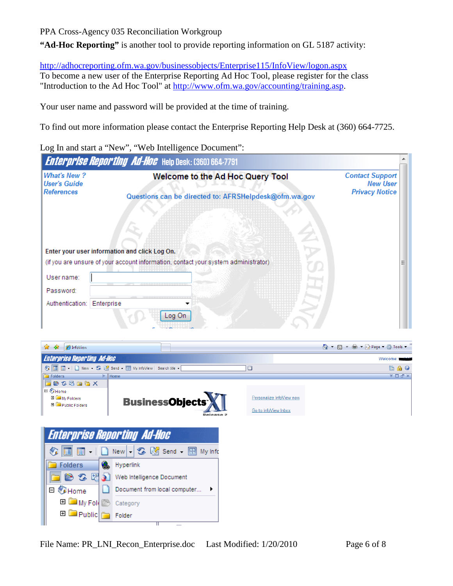**"Ad-Hoc Reporting"** is another tool to provide reporting information on GL 5187 activity:

<http://adhocreporting.ofm.wa.gov/businessobjects/Enterprise115/InfoView/logon.aspx>

To become a new user of the Enterprise Reporting Ad Hoc Tool, please register for the class "Introduction to the Ad Hoc Tool" at [http://www.ofm.wa.gov/accounting/training.asp.](http://www.ofm.wa.gov/accounting/training.asp)

Your user name and password will be provided at the time of training.

To find out more information please contact the Enterprise Reporting Help Desk at (360) 664-7725.

Log In and start a "New", "Web Intelligence Document":

|                                                                | <b>Enterprise Reporting Ad-Hoc</b> Help Desk: (360) 664-7791                       |                                                                    |
|----------------------------------------------------------------|------------------------------------------------------------------------------------|--------------------------------------------------------------------|
| <b>What's New?</b><br><b>User's Guide</b><br><b>References</b> | Welcome to the Ad Hoc Query Tool                                                   | <b>Contact Support</b><br><b>New User</b><br><b>Privacy Notice</b> |
|                                                                | Questions can be directed to: AFRSHelpdesk@ofm.wa.gov                              |                                                                    |
| Enter your user information and click Log On.                  | (if you are unsure of your account information, contact your system administrator) |                                                                    |
| User name:                                                     |                                                                                    |                                                                    |
| Password:                                                      |                                                                                    |                                                                    |
| Enterprise<br>Authentication:                                  | Log On                                                                             |                                                                    |

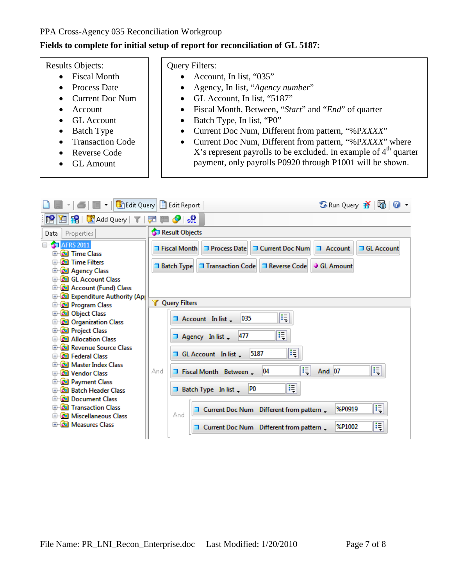#### **Fields to complete for initial setup of report for reconciliation of GL 5187:**

#### Results Objects:

- Fiscal Month
- Process Date
- Current Doc Num
- Account
- GL Account
- Batch Type
- Transaction Code
- Reverse Code
- GL Amount

## Query Filters:

- Account, In list, "035"
- Agency, In list, "*Agency number*"
- GL Account, In list, "5187"
- Fiscal Month, Between, "*Start*" and "*End*" of quarter
- Batch Type, In list, "P0"
- Current Doc Num, Different from pattern, "%P*XXXX*"
- Current Doc Num, Different from pattern, "%P*XXXX*" where X's represent payrolls to be excluded. In example of  $4<sup>th</sup>$  quarter payment, only payrolls P0920 through P1001 will be shown.

| 6               Edit Query         Edit Report                                                                                                                                                                                                                                                                                                                                                                                                                                                                                                                                                                                                                                                          |                                                                                                                                                                                                                                                                                                                                                                                                                                                                                                  | S Run Query 齐   do                                                                               |
|---------------------------------------------------------------------------------------------------------------------------------------------------------------------------------------------------------------------------------------------------------------------------------------------------------------------------------------------------------------------------------------------------------------------------------------------------------------------------------------------------------------------------------------------------------------------------------------------------------------------------------------------------------------------------------------------------------|--------------------------------------------------------------------------------------------------------------------------------------------------------------------------------------------------------------------------------------------------------------------------------------------------------------------------------------------------------------------------------------------------------------------------------------------------------------------------------------------------|--------------------------------------------------------------------------------------------------|
| 1 Li Add Query   T<br>ML                                                                                                                                                                                                                                                                                                                                                                                                                                                                                                                                                                                                                                                                                | $\bullet$ set<br><b>A</b> Ba                                                                                                                                                                                                                                                                                                                                                                                                                                                                     |                                                                                                  |
| Properties<br>Data                                                                                                                                                                                                                                                                                                                                                                                                                                                                                                                                                                                                                                                                                      | <b>ST</b> Result Objects                                                                                                                                                                                                                                                                                                                                                                                                                                                                         |                                                                                                  |
| <b>E</b> <sup>4</sup> <b>AFRS</b> 2011<br><b>El 60</b> Time Class<br><b>E &amp;</b> Time Filters<br><b>E @</b> Agency Class<br><b>E</b> 6 GL Account Class<br><b>ED</b> Account (Fund) Class<br><b>E &amp;</b> Expenditure Authority (Ap)<br><b>E @</b> Program Class<br><b>E @</b> Object Class<br><b>D</b> Organization Class<br><b>E @</b> Project Class<br><b>E-61</b> Allocation Class<br>क्षि <b>हिंदी Revenue Source Class</b><br><b>El del Federal Class</b><br><b>E</b> 6 Master Index Class<br><b>E-Co</b> Vendor Class<br><b>E @</b> Payment Class<br><b>El-Col</b> Batch Header Class<br><b>E @</b> Document Class<br><b>El-Gal Transaction Class</b><br><b>E &amp;</b> Miscellaneous Class | <b>T</b> Process Date<br><b>T Current Doc Num</b><br><b>T</b> Fiscal Month<br><b>T</b> Transaction Code<br><b>T</b> Reverse Code<br><b>1 Batch Type</b><br><b>V</b> Query Filters<br>E<br>035<br>$\overline{\phantom{a}}$ Account In list $\overline{\phantom{a}}$<br>E<br>477<br>$\Box$ Agency In list $\Box$<br>Ę<br>5187<br>GL Account In list.<br>E<br>04<br>T Fiscal Month Between<br>And<br>Æ<br>P <sub>0</sub><br>Batch Type In list<br>T Current Doc Num Different from pattern .<br>And | <b>T GL Account</b><br><b>1</b> Account<br><b>GL Amount</b><br>E<br><b>And 07</b><br>E<br>%P0919 |
| <b>E-Co Measures Class</b>                                                                                                                                                                                                                                                                                                                                                                                                                                                                                                                                                                                                                                                                              | T Current Doc Num Different from pattern                                                                                                                                                                                                                                                                                                                                                                                                                                                         | E<br>%P1002                                                                                      |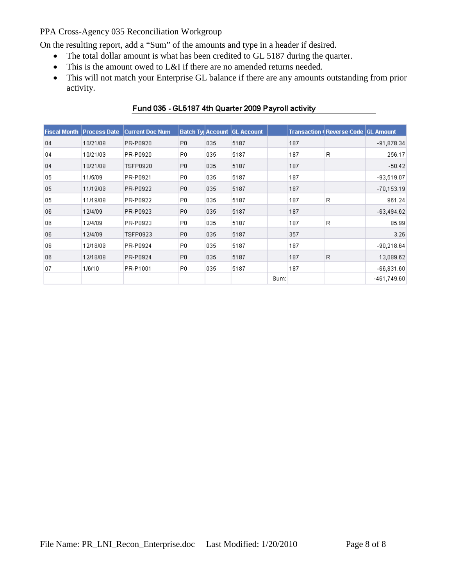On the resulting report, add a "Sum" of the amounts and type in a header if desired.

- The total dollar amount is what has been credited to GL 5187 during the quarter.
- This is the amount owed to L&I if there are no amended returns needed.
- This will not match your Enterprise GL balance if there are any amounts outstanding from prior activity.

|    | <b>Fiscal Month Process Date</b> | <b>Current Doc Num</b> | Batch Ty Account |     | <b>GL Account</b> |      |     | <b>Transaction (Reverse Code GL Amount)</b> |               |
|----|----------------------------------|------------------------|------------------|-----|-------------------|------|-----|---------------------------------------------|---------------|
| 04 | 10/21/09                         | PR-P0920               | P0               | 035 | 5187              |      | 187 |                                             | $-91,878.34$  |
| 04 | 10/21/09                         | PR-P0920               | P0.              | 035 | 5187              |      | 187 | R                                           | 256.17        |
| 04 | 10/21/09                         | TSFP0920               | P0               | 035 | 5187              |      | 187 |                                             | $-50.42$      |
| 05 | 11/5/09                          | PR-P0921               | P0.              | 035 | 5187              |      | 187 |                                             | $-93,519.07$  |
| 05 | 11/19/09                         | PR-P0922               | P <sub>0</sub>   | 035 | 5187              |      | 187 |                                             | $-70,153.19$  |
| 05 | 11/19/09                         | PR-P0922               | P <sub>0</sub>   | 035 | 5187              |      | 187 | R                                           | 961.24        |
| 06 | 12/4/09                          | PR-P0923               | P <sub>0</sub>   | 035 | 5187              |      | 187 |                                             | $-63,494.62$  |
| 06 | 12/4/09                          | PR-P0923               | P0.              | 035 | 5187              |      | 187 | R                                           | 85.99         |
| 06 | 12/4/09                          | TSFP0923               | P0               | 035 | 5187              |      | 357 |                                             | 3.26          |
| 06 | 12/18/09                         | PR-P0924               | P <sub>0</sub>   | 035 | 5187              |      | 187 |                                             | $-90,218.64$  |
| 06 | 12/18/09                         | PR-P0924               | P <sub>0</sub>   | 035 | 5187              |      | 187 | R                                           | 13,089.62     |
| 07 | 1/6/10                           | PR-P1001               | P0               | 035 | 5187              |      | 187 |                                             | $-66,831.60$  |
|    |                                  |                        |                  |     |                   | Sum: |     |                                             | $-461,749.60$ |

# Fund 035 - GL5187 4th Quarter 2009 Payroll activity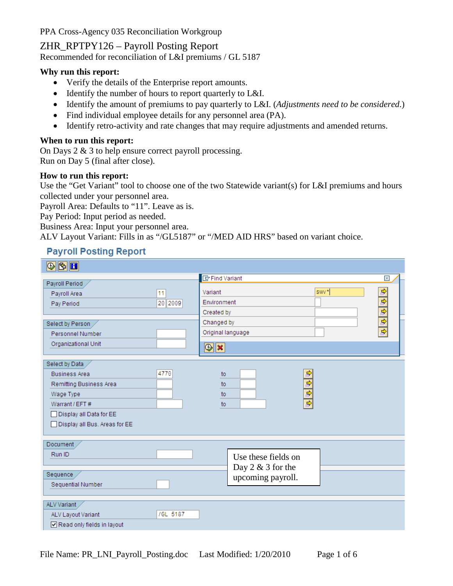ZHR\_RPTPY126 – Payroll Posting Report

Recommended for reconciliation of L&I premiums / GL 5187

#### **Why run this report:**

- Verify the details of the Enterprise report amounts.
- Identify the number of hours to report quarterly to L&I.
- Identify the amount of premiums to pay quarterly to L&I. (*Adjustments need to be considered*.)
- Find individual employee details for any personnel area (PA).
- Identify retro-activity and rate changes that may require adjustments and amended returns.

### **When to run this report:**

On Days 2 & 3 to help ensure correct payroll processing. Run on Day 5 (final after close).

#### **How to run this report:**

Use the "Get Variant" tool to choose one of the two Statewide variant(s) for L&I premiums and hours collected under your personnel area.

Payroll Area: Defaults to "11". Leave as is.

Pay Period: Input period as needed.

Business Area: Input your personnel area.

ALV Layout Variant: Fills in as "/GL5187" or "/MED AID HRS" based on variant choice.

# **Payroll Posting Report**

| $\blacksquare$                |          |                            |                     |                          |               |
|-------------------------------|----------|----------------------------|---------------------|--------------------------|---------------|
|                               |          | <b>ID</b> Find Variant     |                     |                          | ⊠             |
| Payroll Period                |          |                            |                     |                          |               |
| Payroll Area                  | 11       | Variant                    |                     | swy*                     |               |
| Pay Period                    | 20 2009  | Environment                |                     |                          |               |
|                               |          | Created by                 |                     |                          |               |
| Select by Person              |          | Changed by                 |                     |                          | $\frac{1}{2}$ |
| Personnel Number              |          | Original language          |                     |                          |               |
| Organizational Unit           |          |                            |                     |                          |               |
|                               |          | $\circledast$ $\mathbf{x}$ |                     |                          |               |
| Select by Data                |          |                            |                     |                          |               |
| <b>Business Area</b>          | 4770     | to                         |                     | ф                        |               |
| Remitting Business Area       |          | to                         |                     | $\overline{\phantom{a}}$ |               |
| Wage Type                     |          | to                         |                     | $\overline{\phantom{0}}$ |               |
| Warrant / EFT #               |          | to                         |                     | $\Rightarrow$            |               |
| Display all Data for EE       |          |                            |                     |                          |               |
| Display all Bus. Areas for EE |          |                            |                     |                          |               |
|                               |          |                            |                     |                          |               |
| Document                      |          |                            |                     |                          |               |
| Run ID                        |          |                            | Use these fields on |                          |               |
|                               |          |                            |                     |                          |               |
| Sequence                      |          |                            | Day $2 & 3$ for the |                          |               |
| Sequential Number             |          |                            | upcoming payroll.   |                          |               |
|                               |          |                            |                     |                          |               |
| ALV Variant                   |          |                            |                     |                          |               |
| ALV Layout Variant            | /GL 5187 |                            |                     |                          |               |
| Read only fields in layout    |          |                            |                     |                          |               |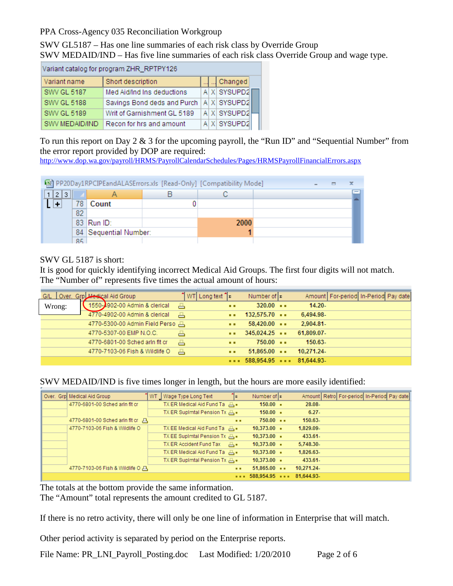SWV GL5187 – Has one line summaries of each risk class by Override Group SWV MEDAID/IND – Has five line summaries of each risk class Override Group and wage type.

| Variant catalog for program ZHR_RPTPY126 |                             |  |         |             |  |  |  |  |  |
|------------------------------------------|-----------------------------|--|---------|-------------|--|--|--|--|--|
| Variant name                             |                             |  | Changed |             |  |  |  |  |  |
| <b>SWV GL 5187</b>                       | Med Aid/Ind Ins deductions  |  |         | A X SYSUPD2 |  |  |  |  |  |
| <b>SWV GL 5188</b>                       | Savings Bond deds and Purch |  |         | A X SYSUPD2 |  |  |  |  |  |
| <b>SWV GL 5189</b>                       | Writ of Garnishment GL 5189 |  |         | A X SYSUPD2 |  |  |  |  |  |
| SWV MEDAID/IND                           | Recon for hrs and amount    |  |         | A X SYSUPD2 |  |  |  |  |  |

To run this report on Day 2 & 3 for the upcoming payroll, the "Run ID" and "Sequential Number" from the error report provided by DOP are required:

<http://www.dop.wa.gov/payroll/HRMS/PayrollCalendarSchedules/Pages/HRMSPayrollFinancialErrors.aspx>

|       | 图 PP20Day1RPCIPEandALASErrors.xls [Read-Only] [Compatibility Mode] |                       |  |      |  |  |  |                 |  |  |  |
|-------|--------------------------------------------------------------------|-----------------------|--|------|--|--|--|-----------------|--|--|--|
| 1 2 3 |                                                                    |                       |  |      |  |  |  | $\qquad \qquad$ |  |  |  |
|       | 78                                                                 | Count                 |  |      |  |  |  |                 |  |  |  |
|       | 82                                                                 |                       |  |      |  |  |  |                 |  |  |  |
|       |                                                                    | 83 Run ID:            |  | 2000 |  |  |  |                 |  |  |  |
|       |                                                                    | 84 Sequential Number: |  |      |  |  |  |                 |  |  |  |
|       | 85                                                                 |                       |  |      |  |  |  |                 |  |  |  |

SWV GL 5187 is short:

It is good for quickly identifying incorrect Medical Aid Groups. The first four digits will not match. The "Number of" represents five times the actual amount of hours:

|        | G/L   Over. Grp <b>Medical</b> Aid Group | "I WT  Long text "  בי |             | Number of $\vert z \vert$              |            | Amount   For-period   In-Period   Pay date |
|--------|------------------------------------------|------------------------|-------------|----------------------------------------|------------|--------------------------------------------|
| Wrong: | 1550-4902-00 Admin & clerical            | 昌                      | <b>ALC</b>  | $320.00 - 1$                           | $14.20 -$  |                                            |
|        | 4770-4902-00 Admin & clerical            | 昌                      | <b>ALC</b>  | $132,575.70$ $\cdots$                  | 6,494.98-  |                                            |
|        | 4770-5300-00 Admin Field Perso 書         |                        | <b>A</b> 10 | $58,420.00$ $\cdots$                   | 2,904.81-  |                                            |
|        | 4770-5307-00 EMP N.O.C.                  | 품                      | . .         | $345,024.25$ $\longrightarrow$         | 61,809.07- |                                            |
|        | 4770-6801-00 Sched arin fit cr           | 昌                      | <b>A</b>    | $750.00 -$                             | $150.63-$  |                                            |
|        | 4770-7103-06 Fish & Wildlife O           | 凸                      | <b>A A</b>  | $51,865.00$ $\cdots$                   | 10.271.24- |                                            |
|        |                                          |                        |             | $\cdots$ 588,954.95 $\cdots$ 81,644.93 |            |                                            |

SWV MEDAID/IND is five times longer in length, but the hours are more easily identified:

| Over. Grp Medical Aid Group      | WT Wage Type Long Text       | Number of $ z $<br>lε    |                       | Amount   Retro   For-period   In-Period   Pay date |
|----------------------------------|------------------------------|--------------------------|-----------------------|----------------------------------------------------|
| 4770-6801-00 Sched arin fit cr   | TX ER Medical Aid Fund Ta A. | $150.00 -$               | 28.08-                |                                                    |
|                                  | TX ER Suplmtal Pension Tx A  | $150.00 -$               | $6.27 -$              |                                                    |
| 4770-6801-00 Sched arin fit cr 프 |                              | $750.00 - 1$<br>. .      | 150.63-               |                                                    |
| 4770-7103-06 Fish & Wildlife O   | TX EE Medical Aid Fund Ta A  | $10,373.00$ =            | 1.829.09-             |                                                    |
|                                  | TX EE SupImtal Pension Tx A  | $10,373.00 -$            | 433.61-               |                                                    |
|                                  | TX ER Accident Fund Tax [4]. | $10,373.00 -$            | 5,748.30-             |                                                    |
|                                  | TX ER Medical Aid Fund Ta A. | $10,373.00 -$            | 1,826.63-             |                                                    |
|                                  | TX ER Suplmtal Pension Tx A. | $10,373.00 -$            | 433.61-               |                                                    |
| 4770-7103-06 Fish & Wildlife O   |                              | 51.865.00<br><b>A</b> 10 | 10,271.24-            |                                                    |
|                                  |                              |                          | 588,954.95  81,644.93 |                                                    |

The totals at the bottom provide the same information.

The "Amount" total represents the amount credited to GL 5187.

If there is no retro activity, there will only be one line of information in Enterprise that will match.

Other period activity is separated by period on the Enterprise reports.

File Name: PR\_LNI\_Payroll\_Posting.doc Last Modified: 1/20/2010 Page 2 of 6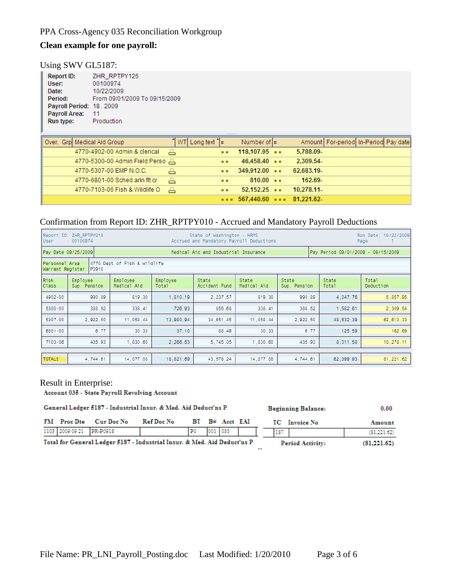### **Clean example for one payroll:**

#### Using SWV GL5187:

| Report ID:                  | ZHR RPTPY126                                                  |  |  |  |  |  |  |  |  |
|-----------------------------|---------------------------------------------------------------|--|--|--|--|--|--|--|--|
| User:                       | 00100974                                                      |  |  |  |  |  |  |  |  |
| Date:                       | 10/22/2009                                                    |  |  |  |  |  |  |  |  |
| Period:                     | From 09/01/2009 To 09/15/2009                                 |  |  |  |  |  |  |  |  |
| Payroll Period: 18, 2009    |                                                               |  |  |  |  |  |  |  |  |
| Payroll Area:               | 11                                                            |  |  |  |  |  |  |  |  |
| Run type:                   | Production                                                    |  |  |  |  |  |  |  |  |
|                             |                                                               |  |  |  |  |  |  |  |  |
|                             |                                                               |  |  |  |  |  |  |  |  |
| Over. Grp Medical Aid Group | WT Long text $\uparrow$ $\mathbf{z}$<br>Number of lz<br>Amoun |  |  |  |  |  |  |  |  |
|                             |                                                               |  |  |  |  |  |  |  |  |

| Over.-Grp  Medical Aid Group-    | ] WTI Long text ີ  ⊵ |              | Number of I¤                                   |            | Amount   For-period   In-Period   Pay date |  |
|----------------------------------|----------------------|--------------|------------------------------------------------|------------|--------------------------------------------|--|
| 4770-4902-00 Admin & clerical    | A                    |              | $\cdots$ 118,107.95 $\cdots$                   | 5,788.09-  |                                            |  |
| 4770-5300-00 Admin Field Perso   |                      | <b>ALC</b>   | $46.458.40$ $\cdots$                           | 2,309.54-  |                                            |  |
| 4770-5307-00 EMP N.O.C.          | ö                    |              | $\bullet \bullet$ 349,912.00 $\bullet \bullet$ | 62,683.19- |                                            |  |
| 4770-6801-00 Sched arin fit cr   | 품                    | <b>A A</b>   | $810.00 -$                                     | 162.69-    |                                            |  |
| 4770-7103-06 Fish & Wildlife O 昌 |                      | <b>A</b> 100 | $52.152.25$ $\cdots$                           | 10.278.11- |                                            |  |
|                                  |                      |              | $\cdots$ 567,440.60 $\cdots$ 81,221.62         |            |                                            |  |

# Confirmation from Report ID: ZHR\_RPTPY010 - Accrued and Mandatory Payroll Deductions

| User                 | Report ID: ZHR_RPTPY010<br>Run Date: 10/22/2009<br>State of Washington - HRMS<br>Accrued and Mandatory Payroll Deductions<br>: 00100974<br>Page<br>- 1200 11 |                         |                   |                        |                      |                       |                |                    |  |  |  |  |
|----------------------|--------------------------------------------------------------------------------------------------------------------------------------------------------------|-------------------------|-------------------|------------------------|----------------------|-----------------------|----------------|--------------------|--|--|--|--|
|                      | Pay Period 09/01/2009 - 09/15/2009<br>Pay Date 09/25/2009<br>Medical Aid and Industrial Insurance                                                            |                         |                   |                        |                      |                       |                |                    |  |  |  |  |
|                      | 4770 Dept of Fish & Wildlife<br>Personnel Area<br>Warrant Register<br>P0918                                                                                  |                         |                   |                        |                      |                       |                |                    |  |  |  |  |
| Risk<br><b>Class</b> | Employee<br>Sup. Pension                                                                                                                                     | Employee<br>Medical Aid | Employee<br>Total | State<br>Accident Fund | State<br>Medical Aid | State<br>Sup. Pension | State<br>Total | Total<br>Deduction |  |  |  |  |
| 4902-00              | 990.89                                                                                                                                                       | 819.30                  | 1,810.19          | 2,237.57               | 819.30               | 990.89                | 4,047.76       | 5,857.95           |  |  |  |  |
| 5300-00              | 388.52                                                                                                                                                       | 338.41                  | 726.93            | 855.68                 | 338.41               | 388.52                | 1,582.61       | 2,309.54           |  |  |  |  |
| 5307-00              | 2,922.50                                                                                                                                                     | 11,058.44               | 13,980.94         | 34,651.45              | 11,058.44            | 2,922.50              | 48,632.39      | 62, 613.33         |  |  |  |  |
| 6801-00              | 6.77                                                                                                                                                         | 30.33                   | 37.10             | 88.49                  | 30.33                | 6.77                  | 125.59         | 162.69             |  |  |  |  |
| 7103-06              | 435.93                                                                                                                                                       | 1,830.60                | 2,266.53          | 5,745.05               | 1,830.60             | 435.93                | 8,011.58       | 10,278.11          |  |  |  |  |
|                      |                                                                                                                                                              |                         |                   |                        |                      |                       |                |                    |  |  |  |  |
| <b>TOTALS</b>        | 4.744.61                                                                                                                                                     | 14,077.08               | 18,821.69         | 43,578.24              | 14,077.08            | 4,744.61              | 62,399.93      | 81, 221.62         |  |  |  |  |

Result in Enterprise:<br>Account 035 - State Payroll Revolving Account

|                                                                          |                          | General Ledger 5187 - Industrial Insur. & Med. Aid Deduct'ns P |            |           |  | <b>Beginning Balance:</b> | 0.00 |               |                         |             |
|--------------------------------------------------------------------------|--------------------------|----------------------------------------------------------------|------------|-----------|--|---------------------------|------|---------------|-------------------------|-------------|
|                                                                          | FM Proc Dte              | Cur Doc No                                                     | Ref Doc No |           |  | BT B# Acct EAI            |      | TC Invoice No |                         | Amount      |
|                                                                          | 1103 2009 09 21 PR-P0918 |                                                                |            | <b>PO</b> |  | 001 035                   |      | 187           |                         | (81,221.62) |
| Total for General Ledger 5187 - Industrial Insur. & Med. Aid Deduct'ns P |                          |                                                                |            |           |  |                           |      |               | <b>Period Activity:</b> | (81,221,62) |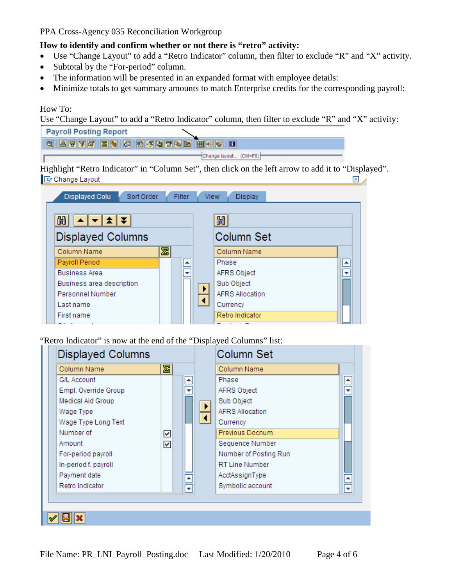## **How to identify and confirm whether or not there is "retro" activity:**

- Use "Change Layout" to add a "Retro Indicator" column, then filter to exclude "R" and "X" activity.
- Subtotal by the "For-period" column.
- The information will be presented in an expanded format with employee details:
- Minimize totals to get summary amounts to match Enterprise credits for the corresponding payroll:

# How To:

Use "Change Layout" to add a "Retro Indicator" column, then filter to exclude "R" and "X" activity:

| <b>Payroll Posting Report</b>       |        |             |                                                                                                     |                         |              |
|-------------------------------------|--------|-------------|-----------------------------------------------------------------------------------------------------|-------------------------|--------------|
|                                     |        |             |                                                                                                     |                         |              |
| <b>QATTE EXQUADEEEE</b>             |        |             |                                                                                                     |                         |              |
|                                     |        |             | Change layout. (Ctrl+F8)                                                                            |                         |              |
|                                     |        |             | Highlight "Retro Indicator" in "Column Set", then click on the left arrow to add it to "Displayed". |                         |              |
| <b>F</b> Change Layout              |        |             |                                                                                                     |                         | $\mathbb{X}$ |
|                                     |        |             |                                                                                                     |                         |              |
| <b>Displayed Colu</b><br>Sort Order | Filter | <b>View</b> | Display                                                                                             |                         |              |
|                                     |        |             |                                                                                                     |                         |              |
|                                     |        |             |                                                                                                     |                         |              |
| 岡川<br>▏▲▏▼▏±▏₮                      |        |             | 尙                                                                                                   |                         |              |
| <b>Displayed Columns</b>            |        |             | Column Set                                                                                          |                         |              |
| 圐<br>Column Name                    |        |             | Column Name                                                                                         |                         |              |
| Payroll Period                      | ٠      |             | Phase                                                                                               | ≜                       |              |
| <b>Business Area</b>                |        |             | AFRS Object                                                                                         | $\overline{\mathbf{v}}$ |              |
| Business area description           |        |             | Sub Object                                                                                          |                         |              |
| Personnel Number                    |        |             | <b>AFRS Allocation</b>                                                                              |                         |              |
| Last name                           |        |             | Currency                                                                                            |                         |              |
| First name                          |        |             | Retro Indicator                                                                                     |                         |              |
|                                     |        |             |                                                                                                     |                         |              |

"Retro Indicator" is now at the end of the "Displayed Columns" list:

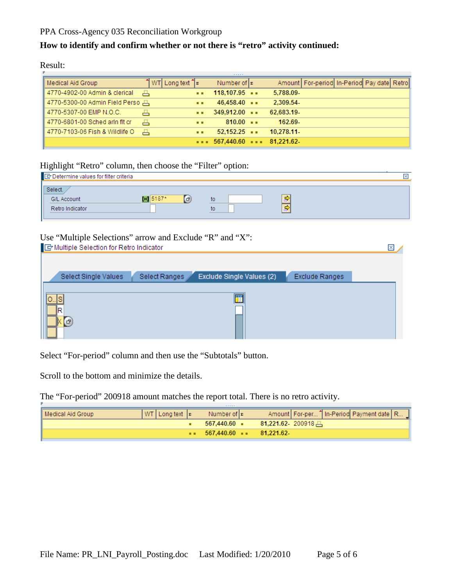# **How to identify and confirm whether or not there is "retro" activity continued:**

Result:

|                                |                         |            | ------                                 |                                                    |  |
|--------------------------------|-------------------------|------------|----------------------------------------|----------------------------------------------------|--|
| Medical Aid Group              | ้   WT  Long text 1ื่≖่ |            | Number of $ z $                        | Amount   For-period   In-Period   Pay date   Retro |  |
| 4770-4902-00 Admin & clerical  | ڪ                       | . .        | 118,107.95                             | 5,788.09-                                          |  |
| 4770-5300-00 Admin Field Perso |                         | . .        | $46.458.40$ $\cdots$                   | 2.309.54-                                          |  |
| 4770-5307-00 EMP N.O.C.        | 품                       | <b>ALC</b> | $349.912.00 -$                         | 62.683.19-                                         |  |
| 4770-6801-00 Sched arin fit cr | 품                       | <b>ALC</b> | $810.00 -$                             | 162.69-                                            |  |
| 4770-7103-06 Fish & Wildlife O | 凸                       | . .        | $52.152.25$ $\cdots$                   | 10.278.11                                          |  |
|                                |                         |            | $\cdots$ 567,440.60 $\cdots$ 81,221.62 |                                                    |  |

# Highlight "Retro" column, then choose the "Filter" option:

| Determine values for filter criteria             |                        |          | × |
|--------------------------------------------------|------------------------|----------|---|
| Select.<br><b>G/L Account</b><br>Retro Indicator | <b>Exil</b> 5187*<br>F | to<br>to |   |

# Use "Multiple Selections" arrow and Exclude "R" and "X":

| Multiple Selection for Retro Indicator |                                            |                | × |
|----------------------------------------|--------------------------------------------|----------------|---|
|                                        |                                            |                |   |
| Select Single Values                   | Exclude Single Values (2)<br>Select Ranges | Exclude Ranges |   |
|                                        |                                            |                |   |
|                                        |                                            |                |   |
| G)                                     |                                            |                |   |
|                                        |                                            |                |   |

Select "For-period" column and then use the "Subtotals" button.

Scroll to the bottom and minimize the details.

The "For-period" 200918 amount matches the report total. There is no retro activity.

| Medical Aid Group | $ WT $ Long text $ E $ | Number of <b>E</b>                                       | Amount   For-per   In-Period Payment date   R |
|-------------------|------------------------|----------------------------------------------------------|-----------------------------------------------|
|                   |                        | 567.440.60 -                                             | $81,221.62$ 200918                            |
|                   |                        | $\bullet \bullet$ 567,440.60 $\bullet \bullet$ 81,221.62 |                                               |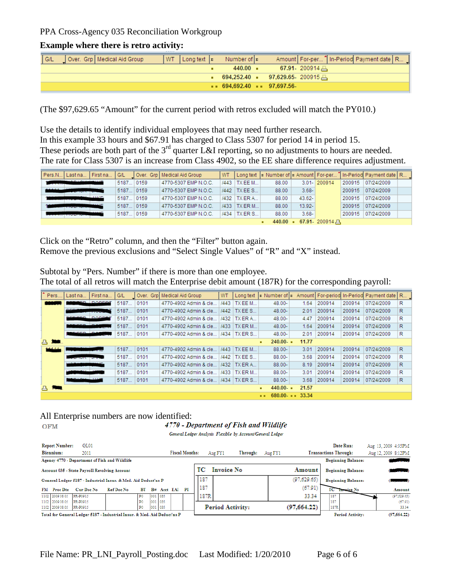#### **Example where there is retro activity:**

| $\vert$ G/L | Over. Grp   Medical Aid Group |  | NUT Longtext  ε Number of  ε             |  |                  | Amount   For-per   In-Period Payment date   R |  |
|-------------|-------------------------------|--|------------------------------------------|--|------------------|-----------------------------------------------|--|
|             |                               |  | $440.00 -$                               |  | $67.91 - 200914$ |                                               |  |
|             |                               |  | 694,252.40 ■ 97,629.65-200915 —          |  |                  |                                               |  |
|             |                               |  | $\bullet$ 694.692.40 $\bullet$ 97.697.56 |  |                  |                                               |  |

(The \$97,629.65 "Amount" for the current period with retros excluded will match the PY010.)

Use the details to identify individual employees that may need further research. In this example 33 hours and \$67.91 has charged to Class 5307 for period 14 in period 15. These periods are both part of the 3<sup>rd</sup> quarter L&I reporting, so no adjustments to hours are needed. The rate for Class 5307 is an increase from Class 4902, so the EE share difference requires adjustment.

| Pers.N Last na | First na | G/L       | Over. Grp   Medical Aid Group | <b>WT</b> |                |            |           |                     |        | Long text   ⊵ Number of   ⊵ Amount   For-per T  In-Period  Payment date   R |  |
|----------------|----------|-----------|-------------------------------|-----------|----------------|------------|-----------|---------------------|--------|-----------------------------------------------------------------------------|--|
|                |          | 5187 0159 | 4770-5307 EMP N.O.C.          |           | /443   TX EE M | 88.00      |           | 3.01- 200914        | 200915 | 07/24/2009                                                                  |  |
|                |          | 5187 0159 | 4770-5307 EMP N.O.C.          |           | /442   TX EE S | 88.00      | $3.68 -$  |                     | 200915 | 07/24/2009                                                                  |  |
|                |          | 5187 0159 | 4770-5307 EMP N.O.C.          |           | /432 TX ER A   | 88.00      | $43.62 -$ |                     | 200915 | 07/24/2009                                                                  |  |
|                |          | 5187 0159 | 4770-5307 EMP N.O.C.          |           | /433 TX ER M   | 88.00      | $13.92 -$ |                     | 200915 | 07/24/2009                                                                  |  |
|                |          | 5187 0159 | 4770-5307 EMP N.O.C.          |           | $1434$ TX ER S | 88.00      | $3.68 -$  |                     | 200915 | 07/24/2009                                                                  |  |
|                |          |           |                               |           |                | $440.00 -$ |           | 67.91 200914 $\Box$ |        |                                                                             |  |

Click on the "Retro" column, and then the "Filter" button again. Remove the previous exclusions and "Select Single Values" of "R" and "X" instead.

Subtotal by "Pers. Number" if there is more than one employee. The total of all retros will match the Enterprise debit amount (187R) for the corresponding payroll:

| Pers. | Last na                      | First na      | <b>G/L</b> |      | Over. Grol Medical Aid Group | WT   | Long text      | ະNumberof ະ     |       |        |        | Amount   For-period In-Period Payment date   R |   |
|-------|------------------------------|---------------|------------|------|------------------------------|------|----------------|-----------------|-------|--------|--------|------------------------------------------------|---|
|       | so.                          | <b>DODEDT</b> | 5187       | 0101 | 4770-4902 Admin & cle.       | /443 | TX EE M        | 48.00-          | 1.64  | 200914 | 200914 | 07/24/2009                                     | R |
|       | <b>DEEM</b>                  |               | 5187       | 0101 | 4770-4902 Admin & cle        |      | /442   TX EE S | $48.00 -$       | 2.01  | 200914 | 200914 | 07/24/2009                                     | R |
|       | <b>SERVICE</b>               | <b>DODERT</b> | 5187       | 0101 | 4770-4902 Admin & cle        |      | /432   TX ER A | 48.00-          | 4.47  | 200914 | 200914 | 07/24/2009                                     | R |
|       |                              |               | 5187       | 0101 | 4770-4902 Admin & cle        |      | /433   TX ER M | 48.00-          | 1.64  | 200914 | 200914 | 07/24/2009                                     | R |
|       | --n                          |               | 5187       | 0101 | 4770-4902 Admin & cle        | /434 | $\top$ XERS    | 48.00-          | 2.01  | 200914 | 200914 | 07/24/2009                                     | R |
| 四、舞曲。 |                              |               |            |      |                              |      |                | $240.00 -$<br>٠ | 11.77 |        |        |                                                |   |
| 44444 |                              |               | 5187       | 0101 | 4770-4902 Admin & cle        | /443 | <b>TX EE M</b> | $88.00 -$       | 3.01  | 200914 | 200914 | 07/24/2009                                     | R |
|       | or Not N                     |               | 5187       | 0101 | 4770-4902 Admin & cle        |      | $1442$ TX EE S | $88.00 -$       | 3.68  | 200914 | 200914 | 07/24/2009                                     | R |
|       |                              |               | 5187       | 0101 | 4770-4902 Admin & cle        |      | /432   TX ER A | 88.00-          | 8.19  | 200914 | 200914 | 07/24/2009                                     | R |
|       |                              |               | 5187       | 0101 | 4770-4902 Admin & cle        |      | /433   TX ER M | 88.00-          | 3.01  | 200914 | 200914 | 07/24/2009                                     | R |
|       |                              |               | 5187       | 0101 | 4770-4902 Admin & cle        |      | /434   TX ER S | $88.00 -$       | 3.68  | 200914 | 200914 | 07/24/2009                                     | R |
|       |                              |               |            |      |                              |      |                | $440.00 -$<br>٠ | 21.57 |        |        |                                                |   |
|       | $680.00 - -$<br>33.34<br>. . |               |            |      |                              |      |                |                 |       |        |        |                                                |   |

All Enterprise numbers are now identified:<br>0FM 4770 - Department of Fish and Wildlife

**OFM** 

General Ledger Analysis Flexible by Account/General Ledger

| <b>Report Number:</b>              | GL01                 |                                                                          |                      |            |             |                       |      |                         |          |             | Date Run:                    | Aug 13, 2009 4:35PM |
|------------------------------------|----------------------|--------------------------------------------------------------------------|----------------------|------------|-------------|-----------------------|------|-------------------------|----------|-------------|------------------------------|---------------------|
| <b>Biennium:</b>                   | 2011                 |                                                                          |                      |            |             | <b>Fiscal Months:</b> |      | Aug FY1                 | Through: | Aug FY1     | <b>Transactions Through:</b> | Aug 12, 2009 8:12PM |
|                                    |                      | Agency 4770 - Department of Fish and Wildlife                            |                      |            |             |                       |      |                         |          |             | <b>Beginning Balance:</b>    |                     |
|                                    |                      | Account 035 - State Payroll Revolving Account                            |                      |            |             |                       | TС   | <b>Invoice No</b>       |          | Amount      | <b>Beginning Balance:</b>    |                     |
|                                    |                      | General Ledger 5187 - Industrial Insur. & Med. Aid Deduct'ns P           |                      |            |             |                       | 187  |                         |          | (97.629.65) | <b>Beginning Balance:</b>    |                     |
| FM Proc Dte                        | Cur Doc No           | Ref Doc No                                                               | RТ                   |            | B# Acet EAI | PI                    | 187  |                         |          | (67.91)     | <b>TC</b> Invoice No         | Amount              |
| 1102 2009 08 05 PR-P0915           |                      |                                                                          | P <sub>0</sub>       |            | 001 035     |                       | 187R |                         |          | 33.34       | 187                          | (97,629.65)         |
| 1102 2009 08:05<br>1102 2009 08 05 | PR-P0915<br>PR-P0915 |                                                                          | P <sub>0</sub><br>P0 | 001<br>001 | 035<br>035  |                       |      | <b>Period Activity:</b> |          | (97.664.22) | 187<br>187R                  | (67.91)<br>33.34    |
|                                    |                      | Total for General Ledger 5187 - Industrial Insur, & Med. Aid Deduct'ns P |                      |            |             |                       |      |                         |          |             | Period Activity:             | (97.664.22)         |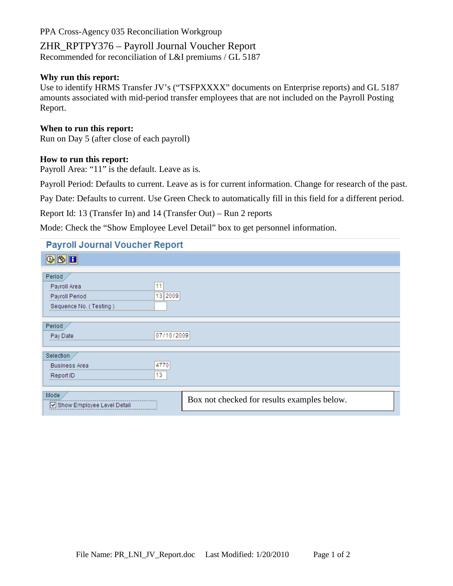## ZHR\_RPTPY376 – Payroll Journal Voucher Report Recommended for reconciliation of L&I premiums / GL 5187

#### **Why run this report:**

Use to identify HRMS Transfer JV's ("TSFPXXXX" documents on Enterprise reports) and GL 5187 amounts associated with mid-period transfer employees that are not included on the Payroll Posting Report.

#### **When to run this report:**

Run on Day 5 (after close of each payroll)

#### **How to run this report:**

Payroll Area: "11" is the default. Leave as is.

Payroll Period: Defaults to current. Leave as is for current information. Change for research of the past.

Pay Date: Defaults to current. Use Green Check to automatically fill in this field for a different period.

Report Id: 13 (Transfer In) and 14 (Transfer Out) – Run 2 reports

Mode: Check the "Show Employee Level Detail" box to get personnel information.

| <b>Payroll Journal Voucher Report</b> |                                             |
|---------------------------------------|---------------------------------------------|
| $\blacksquare$                        |                                             |
|                                       |                                             |
| Period                                |                                             |
| 11<br>Payroll Area                    |                                             |
| 13 2009<br>Payroll Period             |                                             |
| Sequence No. (Testing)                |                                             |
|                                       |                                             |
| Period                                |                                             |
|                                       | 07/10/2009                                  |
| Pay Date                              |                                             |
|                                       |                                             |
| Selection                             |                                             |
| 4770<br><b>Business Area</b>          |                                             |
| 13<br>Report ID                       |                                             |
|                                       |                                             |
| Mode                                  |                                             |
| Show Employee Level Detail            | Box not checked for results examples below. |
|                                       |                                             |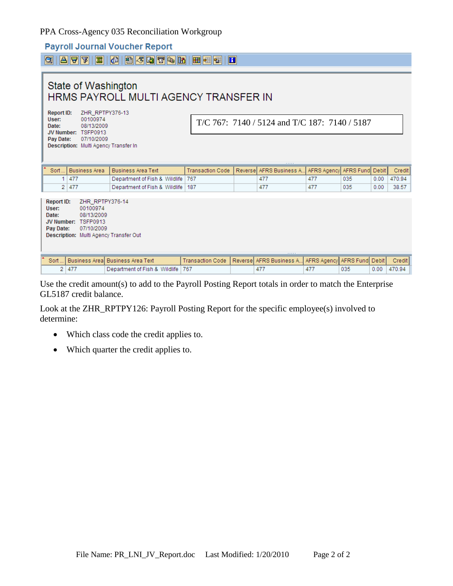### **Payroll Journal Voucher Report**

|                                                  | State of Washington<br>HRMS PAYROLL MULTI AGENCY TRANSFER IN                                                                                        |                                   |                         |                                               |                          |                               |                 |      |        |  |  |  |  |
|--------------------------------------------------|-----------------------------------------------------------------------------------------------------------------------------------------------------|-----------------------------------|-------------------------|-----------------------------------------------|--------------------------|-------------------------------|-----------------|------|--------|--|--|--|--|
| <b>Report ID:</b><br>User:<br>Date:<br>Pay Date: | ZHR RPTPY376-13<br>00100974<br>08/13/2009<br>JV Number: TSFP0913<br>07/10/2009<br>Description: Multi Agency Transfer In                             |                                   |                         | T/C 767: 7140 / 5124 and T/C 187: 7140 / 5187 |                          |                               |                 |      |        |  |  |  |  |
| Sort.                                            | <b>Business Area</b>                                                                                                                                | <b>Business Area Text</b>         | <b>Transaction Code</b> | Reversel                                      | <b>AFRS Business A</b>   | AFRS Agency                   | AFRS Fund Debit |      | Credit |  |  |  |  |
| 1 <sup>1</sup>                                   | 477                                                                                                                                                 | Department of Fish & Wildlife     | 767                     |                                               | 477                      | 477                           | 035             | 0.00 | 470.94 |  |  |  |  |
| $\overline{2}$                                   | 477                                                                                                                                                 | Department of Fish & Wildlife     | 187                     |                                               | 477                      | 477                           | 035             | 0.00 | 38.57  |  |  |  |  |
| User:<br>Date:                                   | ZHR RPTPY376-14<br>Report ID:<br>00100974<br>08/13/2009<br>JV Number: TSFP0913<br>Pay Date:<br>07/10/2009<br>Description: Multi Agency Transfer Out |                                   |                         |                                               |                          |                               |                 |      |        |  |  |  |  |
| Sort.                                            |                                                                                                                                                     | Business Areal Business Area Text | <b>Transaction Code</b> |                                               | Reversel AFRS Business A | AFRS Agencyl AFRS Fundi Debit |                 |      | Credit |  |  |  |  |
| $\overline{2}$                                   | 477                                                                                                                                                 | Department of Fish & Wildlife     | 767                     |                                               | 477                      | 477                           | 035             | 0.00 | 470.94 |  |  |  |  |

Use the credit amount(s) to add to the Payroll Posting Report totals in order to match the Enterprise GL5187 credit balance.

Look at the ZHR\_RPTPY126: Payroll Posting Report for the specific employee(s) involved to determine:

- Which class code the credit applies to.
- Which quarter the credit applies to.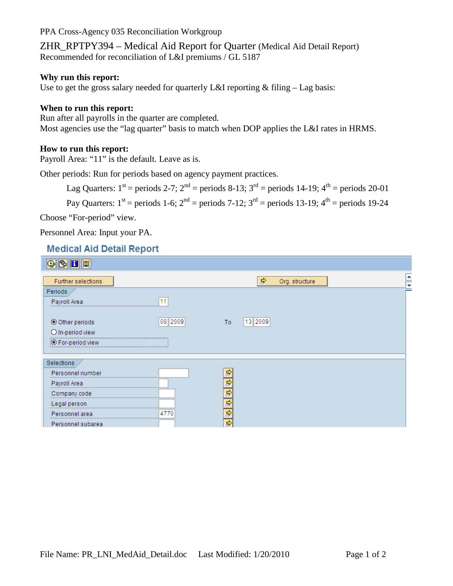ZHR\_RPTPY394 – Medical Aid Report for Quarter (Medical Aid Detail Report) Recommended for reconciliation of L&I premiums / GL 5187

#### **Why run this report:**

Use to get the gross salary needed for quarterly L&I reporting  $&$  filing  $-$  Lag basis:

#### **When to run this report:**

Run after all payrolls in the quarter are completed. Most agencies use the "lag quarter" basis to match when DOP applies the L&I rates in HRMS.

#### **How to run this report:**

Payroll Area: "11" is the default. Leave as is.

Other periods: Run for periods based on agency payment practices.

Lag Quarters:  $1^{st}$  = periods 2-7;  $2^{nd}$  = periods 8-13;  $3^{rd}$  = periods 14-19;  $4^{th}$  = periods 20-01

Pay Quarters:  $1^{st}$  = periods 1-6;  $2^{nd}$  = periods 7-12;  $3^{rd}$  = periods 13-19;  $4^{th}$  = periods 19-24

Choose "For-period" view.

Personnel Area: Input your PA.

# **Medical Aid Detail Report**

| $\circ$ E E              |         |                                 |                      |
|--------------------------|---------|---------------------------------|----------------------|
| Further selections       |         | $\Rightarrow$<br>Org. structure | $\frac{1}{\sqrt{2}}$ |
| Periods                  |         |                                 |                      |
| Payroll Area             | 11      |                                 |                      |
|                          |         |                                 |                      |
| © Other periods          | 08 2009 | 13 2009<br>To:                  |                      |
| O In-period view         |         |                                 |                      |
| <b>O</b> For-period view |         |                                 |                      |
|                          |         |                                 |                      |
| Selections               |         |                                 |                      |
| Personnel number         |         | ф                               |                      |
| Payroll Area             |         | ф                               |                      |
| Company code             |         | ф                               |                      |
| Legal person             |         | $\Rightarrow$                   |                      |
| Personnel area           | 4770    | $\Rightarrow$                   |                      |
| Personnel subarea        |         | ⇨                               |                      |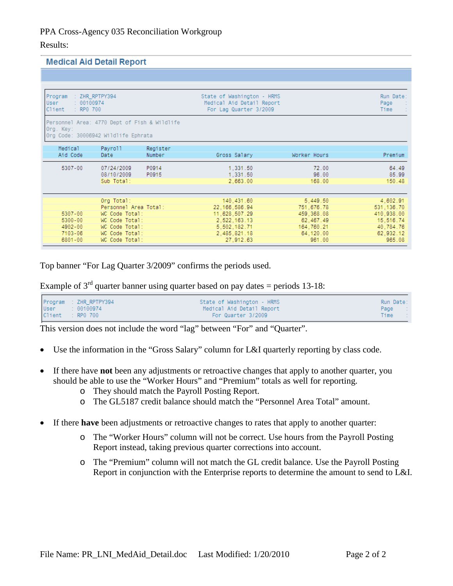#### Results:

#### **Medical Aid Detail Report**

| Program<br>User<br>: 00100974<br>Client<br>$\therefore$ RP0 700 | : ZHR_RPTPY394                                                                      |                    | State of Washington - HRMS<br>Medical Aid Detail Report<br>For Lag Quarter 3/2009 |                                        | Run Date:<br>Page<br>Time            |
|-----------------------------------------------------------------|-------------------------------------------------------------------------------------|--------------------|-----------------------------------------------------------------------------------|----------------------------------------|--------------------------------------|
| Org. Key:                                                       | Personnel Area: 4770 Dept of Fish & Wildlife<br>Org Code: 30006942 Wildlife Ephrata |                    |                                                                                   |                                        |                                      |
| Medical<br>Aid Code                                             | Payroll<br>Date                                                                     | Register<br>Number | Gross Salary                                                                      | Worker Hours                           | Premium                              |
| 5307-00                                                         | 07/24/2009<br>08/10/2009<br>Sub Total:                                              | P0914<br>P0915     | 1,331.50<br>1,331.50<br>2,663.00                                                  | 72.00<br>96.00<br>168.00               | 64.49<br>85.99<br>150.48             |
| 5307-00                                                         | Org Total:<br>Personnel Area Total:<br>WC Code Total:                               |                    | 140,431.60<br>22, 166, 586, 94<br>11,628,507.29                                   | 5,449.50<br>751,676.78<br>459, 368, 08 | 4,602.91<br>531.136.70<br>410,938.00 |
| 5300-00<br>4902-00                                              | WC Code Total:<br>WC Code Total:                                                    |                    | 2.522.163.13<br>5,502,182.71                                                      | 62.467.49<br>164,760.21                | 15,516.74<br>40,784.76               |
| 7103-06<br>6801-00                                              | WC Code Total:<br>WC Code Total:                                                    |                    | 2,485,821.18<br>27,912.63                                                         | 64.120.00<br>961.00                    | 62.932.12<br>965.08                  |

Top banner "For Lag Quarter 3/2009" confirms the periods used.

Example of  $3<sup>rd</sup>$  quarter banner using quarter based on pay dates = periods 13-18:

|  | State of Washington - HRMS<br>Medical Aid Detail Report       | Run Date:<br>Page : |
|--|---------------------------------------------------------------|---------------------|
|  | For Quarter 3/2009                                            | Time<br>- 11        |
|  | Program : ZHR_RPTPY394<br>User : 00100974<br>Client : RP0 700 |                     |

This version does not include the word "lag" between "For" and "Quarter".

- Use the information in the "Gross Salary" column for L&I quarterly reporting by class code.
- If there have **not** been any adjustments or retroactive changes that apply to another quarter, you should be able to use the "Worker Hours" and "Premium" totals as well for reporting.
	- o They should match the Payroll Posting Report.
	- o The GL5187 credit balance should match the "Personnel Area Total" amount.
- If there **have** been adjustments or retroactive changes to rates that apply to another quarter:
	- o The "Worker Hours" column will not be correct. Use hours from the Payroll Posting Report instead, taking previous quarter corrections into account.
	- o The "Premium" column will not match the GL credit balance. Use the Payroll Posting Report in conjunction with the Enterprise reports to determine the amount to send to L&I.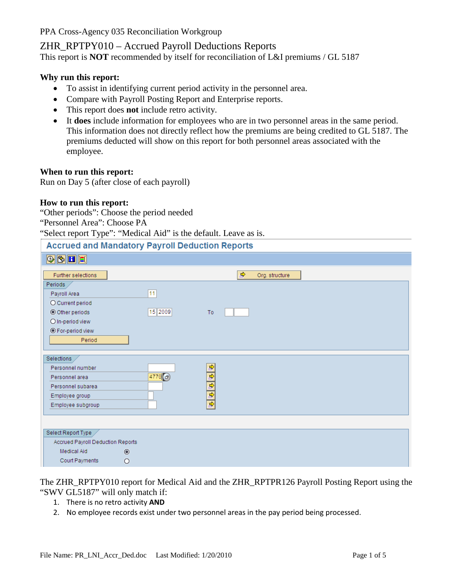# ZHR\_RPTPY010 – Accrued Payroll Deductions Reports

This report is **NOT** recommended by itself for reconciliation of L&I premiums / GL 5187

#### **Why run this report:**

- To assist in identifying current period activity in the personnel area.
- Compare with Payroll Posting Report and Enterprise reports.
- This report does **not** include retro activity.
- It **does** include information for employees who are in two personnel areas in the same period. This information does not directly reflect how the premiums are being credited to GL 5187. The premiums deducted will show on this report for both personnel areas associated with the employee.

#### **When to run this report:**

Run on Day 5 (after close of each payroll)

#### **How to run this report:**

"Other periods": Choose the period needed

"Personnel Area": Choose PA

"Select report Type": "Medical Aid" is the default. Leave as is.

#### **Accrued and Mandatory Payroll Deduction Reports**

| $\mathbb{E}[\mathbf{E} \mathcal{D}]\mathbb{E}]$ |                     |                                 |
|-------------------------------------------------|---------------------|---------------------------------|
| Further selections                              |                     | $\Rightarrow$<br>Org. structure |
| Periods                                         |                     |                                 |
| Payroll Area                                    | 11                  |                                 |
| O Current period                                |                     |                                 |
| © Other periods                                 | 15 2009             | To                              |
| O In-period view                                |                     |                                 |
| ◉ For-period view                               |                     |                                 |
| Period                                          |                     |                                 |
|                                                 |                     |                                 |
| Selections                                      |                     |                                 |
| Personnel number                                |                     |                                 |
| Personnel area                                  | $4770$ <sup>e</sup> |                                 |
| Personnel subarea                               |                     | $\frac{1}{2}$                   |
| Employee group                                  |                     |                                 |
| Employee subgroup                               |                     |                                 |
|                                                 |                     |                                 |
|                                                 |                     |                                 |
| Select Report Type                              |                     |                                 |
| Accrued Payroll Deduction Reports               |                     |                                 |
| Medical Aid                                     | $\circledcirc$      |                                 |
| Court Payments                                  | $\circ$             |                                 |

The ZHR\_RPTPY010 report for Medical Aid and the ZHR\_RPTPR126 Payroll Posting Report using the "SWV GL5187" will only match if:

- 1. There is no retro activity **AND**
- 2. No employee records exist under two personnel areas in the pay period being processed.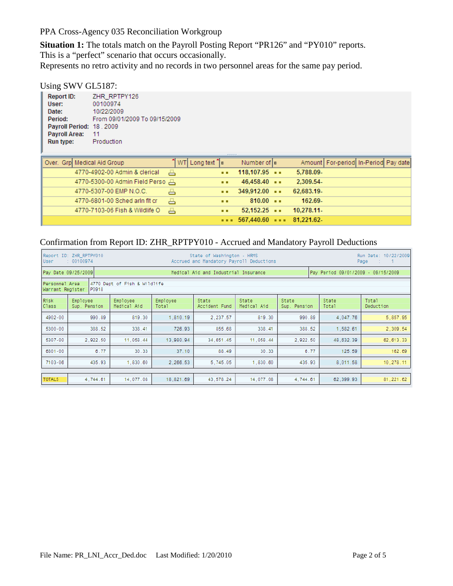**Situation 1:** The totals match on the Payroll Posting Report "PR126" and "PY010" reports. This is a "perfect" scenario that occurs occasionally.

Represents no retro activity and no records in two personnel areas for the same pay period.

#### Using SWV GL5187:

| Report ID:               | ZHR RPTPY126                  |
|--------------------------|-------------------------------|
| User:                    | 00100974                      |
| Date:                    | 10/22/2009                    |
| Period:                  | From 09/01/2009 To 09/15/2009 |
| Payroll Period: 18, 2009 |                               |
| Payroll Area:            | 11                            |
| Run type:                | Production                    |
|                          |                               |

| Over. Grp Medical Aid Group      | ້  WT  Long text ີ ≂ |             | Number of  z                           | Amount   For-period   In-Period Pay date |  |  |
|----------------------------------|----------------------|-------------|----------------------------------------|------------------------------------------|--|--|
| 4770-4902-00 Admin & clerical    | 품                    | <b>ALC</b>  | 118,107.95                             | 5,788.09-                                |  |  |
| 4770-5300-00 Admin Field Perso 품 |                      | <b>ALC</b>  | $46,458.40$ $\cdots$                   | 2,309.54-                                |  |  |
| 4770-5307-00 EMP N.O.C.          | 품                    | . .         | $349,912,00$ $\cdots$                  | 62,683.19-                               |  |  |
| 4770-6801-00 Sched arin fit cr   | 품                    | . .         | $810.00 -$                             | 162.69-                                  |  |  |
| 4770-7103-06 Fish & Wildlife O   | 昌                    | <b>A</b> 10 | $52.152.25$ $\cdots$                   | 10.278.11                                |  |  |
|                                  |                      |             | $\cdots$ 567,440.60 $\cdots$ 81,221.62 |                                          |  |  |

# Confirmation from Report ID: ZHR\_RPTPY010 - Accrued and Mandatory Payroll Deductions

| Report ID: ZHR_RPTPY010<br>State of Washington - HRMS<br>Date: 10/22/2009<br>Run<br>Accrued and Mandatory Payroll Deductions<br>: 00100974<br>User.<br>Page<br>- 10 |                                                                                                                                                                                             |           |           |           |           |          |           |            |  |  |  |
|---------------------------------------------------------------------------------------------------------------------------------------------------------------------|---------------------------------------------------------------------------------------------------------------------------------------------------------------------------------------------|-----------|-----------|-----------|-----------|----------|-----------|------------|--|--|--|
| Pay Date 09/25/2009<br>Pay Period 09/01/2009 - 09/15/2009<br>Medical Aid and Industrial Insurance                                                                   |                                                                                                                                                                                             |           |           |           |           |          |           |            |  |  |  |
|                                                                                                                                                                     | 4770 Dept of Fish & Wildlife<br> Personnel Area<br>Warrant Register<br>P0918                                                                                                                |           |           |           |           |          |           |            |  |  |  |
| <b>Risk</b><br>Class                                                                                                                                                | State<br>State<br>State<br>Total<br>Employee<br>Employee<br>Employee<br>State<br>Medical Aid<br>Sup. Pension<br>Medical Aid<br>Accident Fund<br>Sup. Pension<br>Total<br>Deduction<br>Total |           |           |           |           |          |           |            |  |  |  |
| 4902-00                                                                                                                                                             | 990.89                                                                                                                                                                                      | 819.30    | 1,810.19  | 2,237.57  | 819.30    | 990.89   | 4,047.76  | 5,857.95   |  |  |  |
| 5300-00                                                                                                                                                             | 388.52                                                                                                                                                                                      | 338.41    | 726.93    | 855.68    | 338.41    | 388.52   | 1,582.61  | 2,309.54   |  |  |  |
| 5307-00                                                                                                                                                             | 2,922.50                                                                                                                                                                                    | 11,058.44 | 13.980.94 | 34,651.45 | 11.058.44 | 2,922.50 | 48,632.39 | 62, 613.33 |  |  |  |
| 6801-00                                                                                                                                                             | 6.77                                                                                                                                                                                        | 30.33     | 37.10     | 88.49     | 30.33     | 6.77     | 125.59    | 162.69     |  |  |  |
| 7103-06                                                                                                                                                             | 10,278.11<br>435.93<br>1,830.60<br>2,266.53<br>5,745.05<br>435.93<br>8,011.58<br>1,830.60                                                                                                   |           |           |           |           |          |           |            |  |  |  |
| <b>TOTALS</b>                                                                                                                                                       | 81, 221.62<br>4,744.61<br>14,077.08<br>18,821.69<br>43,578.24<br>14,077.08<br>4,744.61<br>62,399.93                                                                                         |           |           |           |           |          |           |            |  |  |  |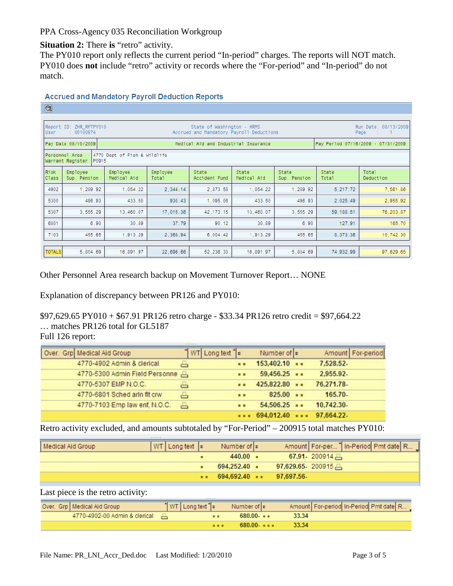**Situation 2:** There **is** "retro" activity.

The PY010 report only reflects the current period "In-period" charges. The reports will NOT match. PY010 does **not** include "retro" activity or records where the "For-period" and "In-period" do not match.

| $\circledcirc$                                                              |                                                                                                                                                                 |                                              |           |                                      |                      |                       |                |                                    |  |  |  |
|-----------------------------------------------------------------------------|-----------------------------------------------------------------------------------------------------------------------------------------------------------------|----------------------------------------------|-----------|--------------------------------------|----------------------|-----------------------|----------------|------------------------------------|--|--|--|
|                                                                             |                                                                                                                                                                 |                                              |           |                                      |                      |                       |                |                                    |  |  |  |
| User                                                                        | Report ID: ZHR_RPTPY010<br>State of Washington - HRMS<br>Run Date: 08/13/2009<br>Accrued and Mandatory Payroll Deductions<br>: 00100974<br>Page<br>$-1$<br>- 17 |                                              |           |                                      |                      |                       |                |                                    |  |  |  |
|                                                                             | Pay Date 08/10/2009                                                                                                                                             |                                              |           | Medical Aid and Industrial Insurance |                      |                       |                | Pay Period 07/16/2009 - 07/31/2009 |  |  |  |
| 4770 Dept of Fish & Wildlife<br>Personnel Area<br>Warrant Register<br>P0915 |                                                                                                                                                                 |                                              |           |                                      |                      |                       |                |                                    |  |  |  |
| <b>Risk</b><br>Class                                                        | Employee<br>Sup. Pension                                                                                                                                        | Employee<br>Employee<br>Medical Aid<br>Total |           | State<br>Accident Fund               | State<br>Medical Aid | State<br>Sup. Pension | State<br>Total | Total<br>Deduction                 |  |  |  |
| 4902                                                                        | 1,289.92                                                                                                                                                        | 1,054.22                                     | 2,344.14  | 2,873.58                             | 1,054.22             | 1,289.92              | 5,217.72       | 7,561.86                           |  |  |  |
| 5300                                                                        | 496.93                                                                                                                                                          | 433.50                                       | 930.43    | 1,095.06                             | 433.50               | 496.93                | 2,025.49       | 2,955.92                           |  |  |  |
| 5307                                                                        | 3,555.29                                                                                                                                                        | 13,460.07                                    | 17,015.36 | 42, 173. 15                          | 13,460.07            | 3,555.29              | 59, 188.51     | 76, 203.87                         |  |  |  |
| 6801                                                                        | 6.90                                                                                                                                                            | 30.89                                        | 37.79     | 90.12                                | 30.89                | 6.90                  | 127.91         | 165.70                             |  |  |  |
| 7103                                                                        | 455.65<br>2,368.94<br>10,742.30<br>1,913.29<br>6,004.42<br>1,913.29<br>455.65<br>8,373.36                                                                       |                                              |           |                                      |                      |                       |                |                                    |  |  |  |
| <b>TOTALS</b>                                                               | 5,804.69                                                                                                                                                        | 16,891.97                                    | 22,696.66 | 52, 236.33                           | 16,891.97            | 5,804.69              | 74,932.99      | 97,629.65                          |  |  |  |

#### **Accrued and Mandatory Payroll Deduction Reports**

Other Personnel Area research backup on Movement Turnover Report… NONE

Explanation of discrepancy between PR126 and PY010:

\$97,629.65 PY010 + \$67.91 PR126 retro charge - \$33.34 PR126 retro credit = \$97,664.22 … matches PR126 total for GL5187

Full 126 report:

| Over. Grp Medical Aid Group    |   | $\frac{1}{2}$ WT Long text $\frac{1}{2}$ | Number of E           | Amount   For-period |
|--------------------------------|---|------------------------------------------|-----------------------|---------------------|
| 4770-4902 Admin & clerical     |   |                                          | 153,402.10            | 7,528.52-           |
| 4770-5300 Admin Field Personne |   |                                          | $59,456.25$           | 2,955.92-           |
| 4770-5307 EMP N.O.C.           |   | $\blacksquare$                           | 425,822.80            | 76,271.78-          |
| 4770-6801 Sched arin fit crw   | ≞ |                                          | 825.00                | $165.70-$           |
| 4770-7103 Emp law enf, N.O.C.  | 昌 |                                          | 54,506.25             | 10,742.30-          |
|                                |   |                                          | 694,012.40  97,664.22 |                     |

Retro activity excluded, and amounts subtotaled by "For-Period" – 200915 total matches PY010:

| Medical Aid Group | $ WT $ Long text $ E $ | Number of $ z $       |            | Amount   For-per " In-Period Pmt date R |
|-------------------|------------------------|-----------------------|------------|-----------------------------------------|
|                   |                        | $440.00 -$            |            | $67.91 - 200914$                        |
|                   |                        | $694.252.40$ =        |            | 97,629.65 200915 —                      |
|                   |                        | $694.692.40$ $\cdots$ | 97.697.56- |                                         |

Last piece is the retro activity:

| Over. Grp   Medical Aid Group   | $\uparrow$ WT   Long text $\uparrow$ $\triangleright$ | Number of   ɛ      | Amount   For-period In-Period Pmt date   R |
|---------------------------------|-------------------------------------------------------|--------------------|--------------------------------------------|
| 4770-4902-00 Admin & clerical — |                                                       | $680.00 - $        | 33.34                                      |
|                                 |                                                       | <br>$680.00 - - -$ | - 33.34 -                                  |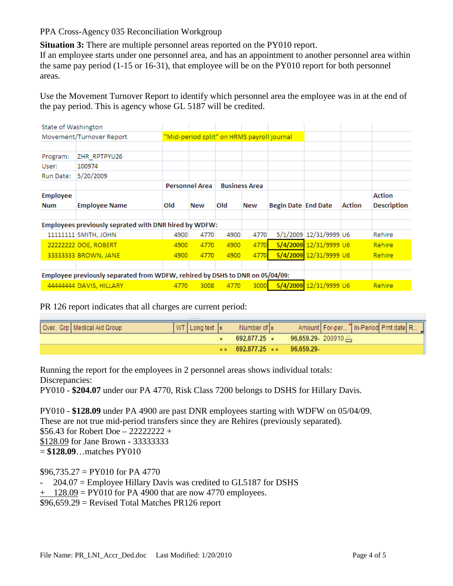**Situation 3:** There are multiple personnel areas reported on the PY010 report.

If an employee starts under one personnel area, and has an appointment to another personnel area within the same pay period (1-15 or 16-31), that employee will be on the PY010 report for both personnel areas.

Use the Movement Turnover Report to identify which personnel area the employee was in at the end of the pay period. This is agency whose GL 5187 will be credited.

| State of Washington |                                                                              |      |                       |                                            |                      |                     |                        |               |                    |
|---------------------|------------------------------------------------------------------------------|------|-----------------------|--------------------------------------------|----------------------|---------------------|------------------------|---------------|--------------------|
|                     | Movement/Turnover Report                                                     |      |                       | "Mid-period split" on HRMS payroll journal |                      |                     |                        |               |                    |
|                     |                                                                              |      |                       |                                            |                      |                     |                        |               |                    |
| Program:            | ZHR RPTPYU26                                                                 |      |                       |                                            |                      |                     |                        |               |                    |
| User:               | 100974                                                                       |      |                       |                                            |                      |                     |                        |               |                    |
| Run Date:           | 5/20/2009                                                                    |      |                       |                                            |                      |                     |                        |               |                    |
|                     |                                                                              |      | <b>Personnel Area</b> |                                            | <b>Business Area</b> |                     |                        |               |                    |
| <b>Employee</b>     |                                                                              |      |                       |                                            |                      |                     |                        |               | Action             |
| <b>Num</b>          | <b>Employee Name</b>                                                         | Old  | New                   | Old                                        | <b>New</b>           | Begin Date End Date |                        | <b>Action</b> | <b>Description</b> |
|                     | Employees previously seprated with DNR hired by WDFW:                        |      |                       |                                            |                      |                     |                        |               |                    |
|                     | 11111111 SMITH, JOHN                                                         | 4900 | 4770                  | 4900                                       | 4770                 |                     | 5/1/2009 12/31/9999 U6 |               | Rehire             |
|                     | 22222222 DOE, ROBERT                                                         | 4900 | 4770                  | 4900                                       | 4770                 |                     | 5/4/2009 12/31/9999 U6 |               | <b>Rehire</b>      |
|                     | 33333333 BROWN, JANE                                                         | 4900 | 4770                  | 4900                                       | 4770                 |                     | 5/4/2009 12/31/9999 U6 |               | <b>Rehire</b>      |
|                     |                                                                              |      |                       |                                            |                      |                     |                        |               |                    |
|                     | Employee previously separated from WDFW, rehired by DSHS to DNR on 05/04/09: |      |                       |                                            |                      |                     |                        |               |                    |
|                     | 44444444 DAVIS, HILLARY                                                      | 4770 | 3008                  | 4770                                       | 3000                 |                     | 5/4/2009 12/31/9999 U6 |               | <b>Rehire</b>      |

PR 126 report indicates that all charges are current period:

| Over. Grp   Medical Aid Group | $ WT $ Long text $ E $ Number of $ E $ |                                                           | Amount   For-per   In-Period Pmt date   R |
|-------------------------------|----------------------------------------|-----------------------------------------------------------|-------------------------------------------|
|                               |                                        |                                                           | 692,877.25 ■ 96,659.29 200910 —           |
|                               |                                        | $\bullet \bullet$ 692,877,25 $\bullet \bullet$ 96,659,29. |                                           |

Running the report for the employees in 2 personnel areas shows individual totals: Discrepancies:

PY010 - **\$204.07** under our PA 4770, Risk Class 7200 belongs to DSHS for Hillary Davis.

PY010 - **\$128.09** under PA 4900 are past DNR employees starting with WDFW on 05/04/09. These are not true mid-period transfers since they are Rehires (previously separated). \$56.43 for Robert Doe – 22222222 + \$128.09 for Jane Brown - 33333333 = **\$128.09**…matches PY010

 $$96,735.27 = PY010$  for PA 4770

 $204.07$  = Employee Hillary Davis was credited to GL5187 for DSHS

 $+$  128.09 = PY010 for PA 4900 that are now 4770 employees.

 $$96,659.29$  = Revised Total Matches PR126 report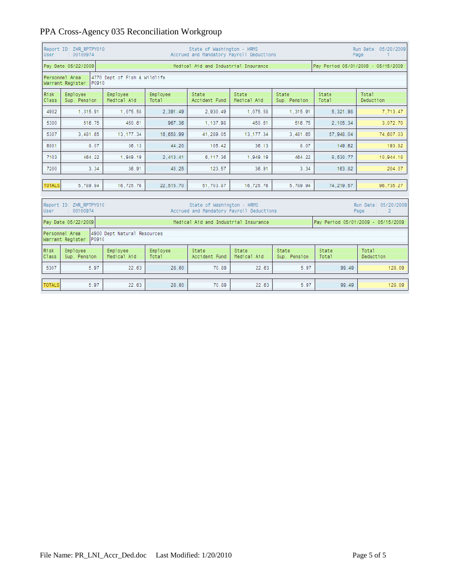| User                                                                                                                                                                         | Report ID: ZHR RPTPY010<br>State of Washington - HRMS<br>Run Date: 05/20/2009<br>: 00100974<br>Accrued and Mandatory Payroll Deductions<br>Page<br>$1 - 1$                                  |                                                      |           |           |           |          |           |           |  |  |  |
|------------------------------------------------------------------------------------------------------------------------------------------------------------------------------|---------------------------------------------------------------------------------------------------------------------------------------------------------------------------------------------|------------------------------------------------------|-----------|-----------|-----------|----------|-----------|-----------|--|--|--|
|                                                                                                                                                                              | Pay Period 05/01/2009 - 05/15/2009<br>Pay Date 05/22/2009<br>Medical Aid and Industrial Insurance                                                                                           |                                                      |           |           |           |          |           |           |  |  |  |
|                                                                                                                                                                              | 4770 Dept of Fish & Wildlife<br>Personnel Area<br>Warrant Register<br>P0910                                                                                                                 |                                                      |           |           |           |          |           |           |  |  |  |
| Risk<br>Class                                                                                                                                                                | Employee<br>Employee<br>Employee<br>State<br>State<br>State<br>State<br>Total<br>Sup. Pension<br>Medical Aid<br>Total<br>Accident Fund<br>Medical Aid<br>Sup. Pension<br>Deduction<br>Total |                                                      |           |           |           |          |           |           |  |  |  |
| 4902                                                                                                                                                                         | 1,315.91                                                                                                                                                                                    | 1,075.58                                             | 2,391.49  | 2,930.49  | 1,075.58  | 1,315.91 | 5,321.98  | 7,713.47  |  |  |  |
| 5300                                                                                                                                                                         | 516.75                                                                                                                                                                                      | 450.61                                               | 967.36    | 1,137.98  | 450.61    | 516.75   | 2,105.34  | 3,072.70  |  |  |  |
| 5307                                                                                                                                                                         | 3,481.65                                                                                                                                                                                    | 13, 177. 34<br>16.658.99<br>41,289.05<br>13, 177. 34 |           |           |           | 3,481.65 | 57.948.04 | 74,607.03 |  |  |  |
| 6801                                                                                                                                                                         | 8.07                                                                                                                                                                                        | 36.13                                                | 44.20     | 105.42    | 36.13     | 8.07     | 149.62    | 193.82    |  |  |  |
| 7103                                                                                                                                                                         | 464.22                                                                                                                                                                                      | 1,949.19                                             | 2,413.41  | 6.117.36  | 1.949.19  | 464.22   | 8,530.77  | 10,944.18 |  |  |  |
| 7200                                                                                                                                                                         | 3.34                                                                                                                                                                                        | 36.91                                                | 40.25     | 123.57    | 36.91     | 3.34     | 163.82    | 204.07    |  |  |  |
| <b>TOTALS</b>                                                                                                                                                                | 5.789.94                                                                                                                                                                                    | 16,725.76                                            | 22.515.70 | 51.703.87 | 16,725.76 | 5.789.94 | 74.219.57 | 96.735.27 |  |  |  |
| Report ID: ZHR_RPTPY010<br>State of Washington - HRMS<br>Run Date: 05/20/2009<br>Accrued and Mandatory Payroll Deductions<br>: 00100974<br>User<br>Page<br>$\sim$ 1 $\sim$ 2 |                                                                                                                                                                                             |                                                      |           |           |           |          |           |           |  |  |  |
|                                                                                                                                                                              | Pay Date 05/22/2009<br>Pay Period 05/01/2009 - 05/15/2009<br>Medical Aid and Industrial Insurance                                                                                           |                                                      |           |           |           |          |           |           |  |  |  |
|                                                                                                                                                                              | Personnel Area<br>Warrant Register P0910                                                                                                                                                    | 4900 Dept Natural Resources                          |           |           |           |          |           |           |  |  |  |

|               | Warrant Register<br>IP0910 |                         |                   |                        |                      |                       |                |                    |  |  |
|---------------|----------------------------|-------------------------|-------------------|------------------------|----------------------|-----------------------|----------------|--------------------|--|--|
| Risk<br>Class | Employee<br>Sup. Pension   | Employee<br>Medical Aid | Employee<br>Total | State<br>Accident Fund | State<br>Medical Aid | State<br>Sup. Pension | State<br>Total | Total<br>Deduction |  |  |
| 5307          | 5.97                       | 22.63                   | 28.60             | 70.89                  | 22.63                | 5.97                  | 99.49          | 128.09             |  |  |
|               |                            |                         |                   |                        |                      |                       |                |                    |  |  |
| <b>TOTALS</b> | 5.97                       | 22.63                   | 28.60             | 70.89                  | 22.63                | 5.97                  | 99.49          | 128.09             |  |  |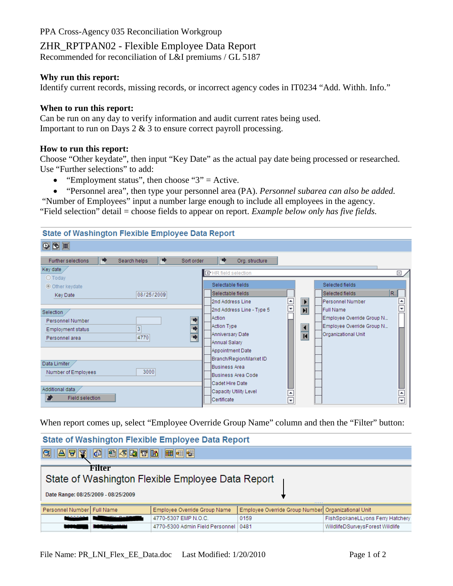# ZHR\_RPTPAN02 - Flexible Employee Data Report

Recommended for reconciliation of L&I premiums / GL 5187

#### **Why run this report:**

Identify current records, missing records, or incorrect agency codes in IT0234 "Add. Withh. Info."

#### **When to run this report:**

Can be run on any day to verify information and audit current rates being used. Important to run on Days 2 & 3 to ensure correct payroll processing.

#### **How to run this report:**

Choose "Other keydate", then input "Key Date" as the actual pay date being processed or researched. Use "Further selections" to add:

- "Employment status", then choose " $3$ " = Active.
- "Personnel area", then type your personnel area (PA). *Personnel subarea can also be added.*

"Number of Employees" input a number large enough to include all employees in the agency.

"Field selection" detail = choose fields to appear on report. *Example below only has five fields.*

| <b>State of Washington Flexible Employee Data Report</b>      |                                                                                                                                                         |  |  |  |  |  |  |  |  |
|---------------------------------------------------------------|---------------------------------------------------------------------------------------------------------------------------------------------------------|--|--|--|--|--|--|--|--|
| $\circledR$                                                   |                                                                                                                                                         |  |  |  |  |  |  |  |  |
| ◆<br>◆<br>Further selections<br>Search helps<br>Sort order    | ◆<br>Org. structure                                                                                                                                     |  |  |  |  |  |  |  |  |
| Key date<br>$O$ Today                                         | <b>ID</b> HR field selection<br>⊠                                                                                                                       |  |  |  |  |  |  |  |  |
| O Other keydate                                               | Selectable fields<br>Selected fields                                                                                                                    |  |  |  |  |  |  |  |  |
| 08/25/2009<br>Key Date                                        | R.,<br>Selected fields<br>Selectable fields<br>$\blacktriangle$<br>$\blacktriangleright$<br>٠<br>2nd Address Line<br>lPersonnel Number                  |  |  |  |  |  |  |  |  |
| Selection<br>Personnel Number                                 | $\overline{\phantom{0}}$<br>$\overline{\mathbf{H}}$<br><b>Full Name</b><br>2nd Address Line - Type 5<br>Employee Override Group N<br>Action             |  |  |  |  |  |  |  |  |
| $\overline{3}$<br>Employment status<br>4770<br>Personnel area | Employee Override Group N<br>Action Type<br>$\overline{\bullet}$<br>Organizational Unit<br>Anniversary Date<br>$\overline{\mathbf{R}}$<br>Annual Salary |  |  |  |  |  |  |  |  |
|                                                               | Appointment Date<br>Branch/Region/Market ID                                                                                                             |  |  |  |  |  |  |  |  |
| Data Limiter<br>3000<br>Number of Employees                   | Business Area<br>Business Area Code                                                                                                                     |  |  |  |  |  |  |  |  |
| Additional data<br>Þ<br>Field selection                       | Cadet Hire Date<br>Capacity Utility Level<br>$\blacktriangle$<br>$\blacktriangle$<br>$\overline{\mathbf{v}}$<br>Certificate<br>$\overline{\phantom{a}}$ |  |  |  |  |  |  |  |  |

When report comes up, select "Employee Override Group Name" column and then the "Filter" button:

| State of Washington Flexible Employee Data Report                                                  |                                                                                                                  |                                        |      |                                  |  |  |  |  |  |  |
|----------------------------------------------------------------------------------------------------|------------------------------------------------------------------------------------------------------------------|----------------------------------------|------|----------------------------------|--|--|--|--|--|--|
| G                                                                                                  |                                                                                                                  |                                        |      |                                  |  |  |  |  |  |  |
| Filter<br>State of Washington Flexible Employee Data Report<br>Date Range: 08/25/2009 - 08/25/2009 |                                                                                                                  |                                        |      |                                  |  |  |  |  |  |  |
|                                                                                                    | Employee Override Group Number Organizational Unit<br>Personnel Number Full Name<br>Employee Override Group Name |                                        |      |                                  |  |  |  |  |  |  |
| <b>DOCAA</b>                                                                                       |                                                                                                                  | 4770-5307 EMP N.O.C.                   | 0159 | FishSpokaneLLyons Ferry Hatchery |  |  |  |  |  |  |
|                                                                                                    |                                                                                                                  | 4770-5300 Admin Field Personnel   0481 |      | WildlifeDSurveysForest Wildlife  |  |  |  |  |  |  |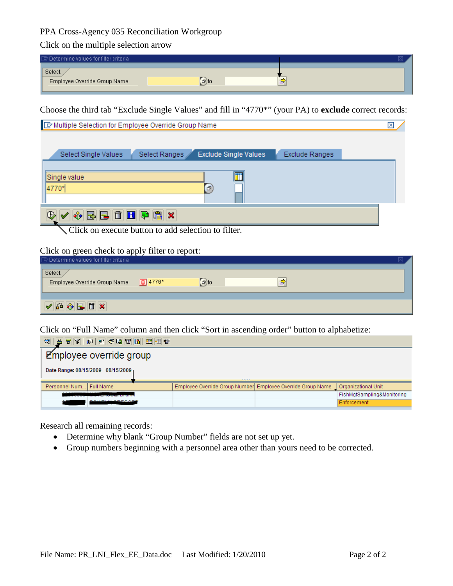Click on the multiple selection arrow

| $\mathbb{F}$ Determine values for filter criteria |           |    |  |
|---------------------------------------------------|-----------|----|--|
| Select.<br>Employee Override Group Name           | $\Box$ to | -- |  |

Choose the third tab "Exclude Single Values" and fill in "4770\*" (your PA) to **exclude** correct records:

| × |
|---|
|   |
|   |
|   |
|   |
|   |
|   |

Click on execute button to add selection to filter.

#### Click on green check to apply filter to report:

| Determine values for filter criteria                          |                      |             |   |  |
|---------------------------------------------------------------|----------------------|-------------|---|--|
| Select.<br>Employee Override Group Name                       | $\frac{1}{29}$ 4770* | $\sigma$ to | ~ |  |
| $\sqrt{40 \sqrt[3]{ {\bf g} }} \sqrt{20 \sqrt[3]{ {\bf g} }}$ |                      |             |   |  |

Click on "Full Name" column and then click "Sort in ascending order" button to alphabetize:

| $ \mathbf{F} \mathbf{F} \mathbf{G} \mathbf{G} \mathbf{F} \mathbf{G} \mathbf{F} \mathbf{F}$<br>a.<br>g |                                                             |  |                            |  |  |  |  |  |
|-------------------------------------------------------------------------------------------------------|-------------------------------------------------------------|--|----------------------------|--|--|--|--|--|
| Employee override group                                                                               |                                                             |  |                            |  |  |  |  |  |
| Date Range: 08/15/2009 - 08/15/2009                                                                   | -----                                                       |  |                            |  |  |  |  |  |
| Personnel Num Full Name                                                                               | Employee Override Group Number Employee Override Group Name |  | Organizational Unit        |  |  |  |  |  |
|                                                                                                       |                                                             |  | FishMgtSampling&Monitoring |  |  |  |  |  |
|                                                                                                       |                                                             |  | Enforcement                |  |  |  |  |  |

Research all remaining records:

- Determine why blank "Group Number" fields are not set up yet.
- Group numbers beginning with a personnel area other than yours need to be corrected.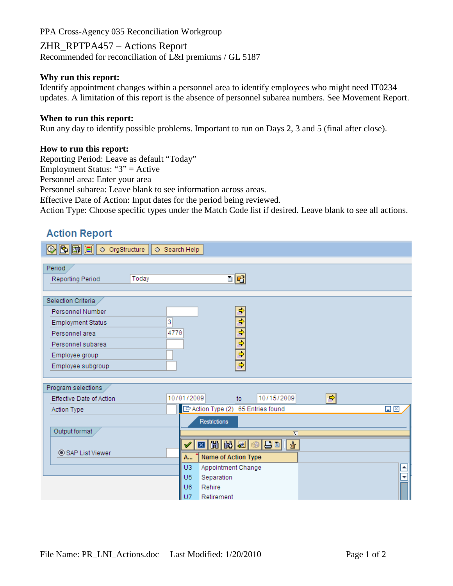ZHR\_RPTPA457 – Actions Report Recommended for reconciliation of L&I premiums / GL 5187

#### **Why run this report:**

Identify appointment changes within a personnel area to identify employees who might need IT0234 updates. A limitation of this report is the absence of personnel subarea numbers. See Movement Report.

#### **When to run this report:**

Run any day to identify possible problems. Important to run on Days 2, 3 and 5 (final after close).

#### **How to run this report:**

Reporting Period: Leave as default "Today"

Employment Status: "3" = Active

Personnel area: Enter your area

Personnel subarea: Leave blank to see information across areas.

Effective Date of Action: Input dates for the period being reviewed.

Action Type: Choose specific types under the Match Code list if desired. Leave blank to see all actions.

# **Action Report**

| <b>B B E</b> C orgStructure                                                                                                                      | ◇ Search Help                                                                                                                                                     |
|--------------------------------------------------------------------------------------------------------------------------------------------------|-------------------------------------------------------------------------------------------------------------------------------------------------------------------|
| Period<br>Today<br>Reporting Period                                                                                                              | 미래                                                                                                                                                                |
| Selection Criteria<br>Personnel Number<br><b>Employment Status</b><br>Personnel area<br>Personnel subarea<br>Employee group<br>Employee subgroup | ф<br>$\frac{1}{2}$ $\frac{1}{2}$ $\frac{1}{2}$ $\frac{1}{2}$<br>3<br>4770                                                                                         |
| Program selections<br>Effective Date of Action                                                                                                   | 회<br>10/01/2009<br>10/15/2009<br>to.                                                                                                                              |
| Action Type<br>Output format<br>SAP List Viewer                                                                                                  | E Action Type (2) 65 Entries found<br>$\Box$ $\times$<br>Restrictions<br>$\overline{\nabla}$<br>図間関図<br>盘<br>42 BB II<br>$\mathscr Y$<br>Name of Action Type<br>A |
|                                                                                                                                                  | U <sub>3</sub><br>Appointment Change<br>$\blacktriangle$<br>$\overline{\phantom{0}}$<br>U <sub>5</sub><br>Separation<br>U6<br>Rehire<br>$U$ 7<br>Retirement       |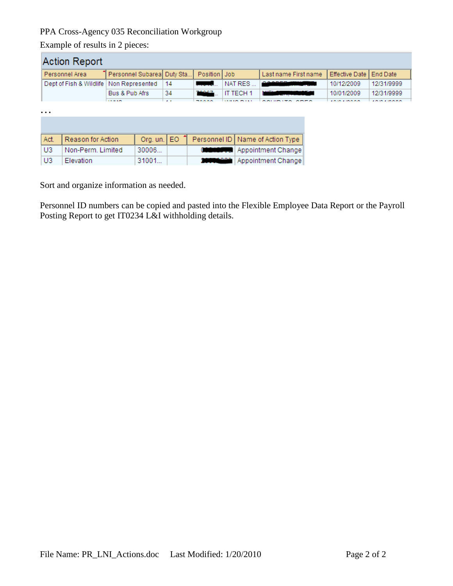31001...

Example of results in 2 pieces:

Elevation

 $U3$ 

| Action Report  |                         |                                    |                            |                 |                |           |                                    |  |                       |                                                 |  |
|----------------|-------------------------|------------------------------------|----------------------------|-----------------|----------------|-----------|------------------------------------|--|-----------------------|-------------------------------------------------|--|
|                | Personnel Area          |                                    | Personnel Subarea Duty Sta |                 | Position   Job |           | Last name First name               |  | <b>Effective Date</b> | End Date                                        |  |
|                | Dept of Fish & Wildlife | Non Represented                    |                            | 14              |                | NAT RES   | <b>.</b>                           |  | 10/12/2009            | 12/31/9999                                      |  |
|                |                         | Bus & Pub Afrs                     |                            | 34              | 70007          | IT TECH 1 |                                    |  | 10/01/2009            | 12/31/9999                                      |  |
| $\ddotsc$      |                         | <b><i><u>ALCOHOL: 1975</u></i></b> |                            | $\mathbf{A}$    | $-222$         |           |                                    |  |                       | <b><i><u><b>I</b>RIST AND RESIDENTS</u></i></b> |  |
| Act.           | Reason for Action       |                                    |                            | Org. un. $E0$ 1 |                |           | Personnel ID   Name of Action Type |  |                       |                                                 |  |
| U <sub>3</sub> | Non-Perm, Limited       |                                    | 30006                      |                 |                |           | Appointment Change                 |  |                       |                                                 |  |

**10000000** Appointment Change

Sort and organize information as needed.

Personnel ID numbers can be copied and pasted into the Flexible Employee Data Report or the Payroll Posting Report to get IT0234 L&I withholding details.